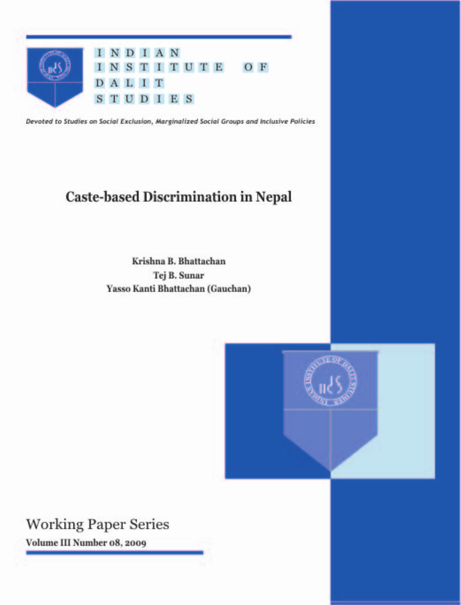

Devoted to Studies on Social Exclusion, Marginalized Social Groups and Inclusive Policies

# **Caste-based Discrimination in Nepal**

Krishna B. Bhattachan Tej B. Sunar Yasso Kanti Bhattachan (Gauchan)



**Working Paper Series** Volume III Number 08, 2009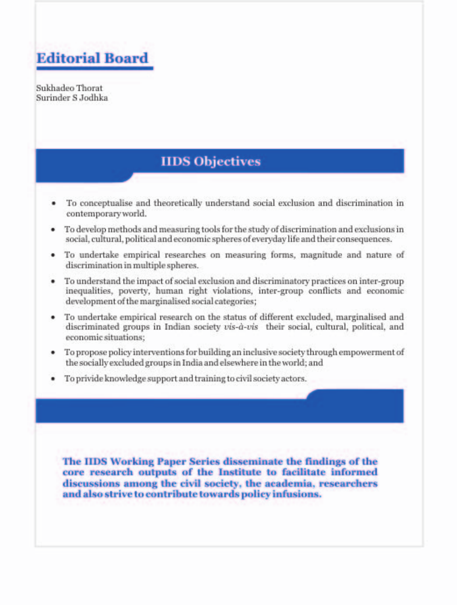

Sukhadeo Thorat Surinder S Jodhka

# **IIDS** Objectives

- To conceptualise and theoretically understand social exclusion and discrimination in ٠ contemporary world.
- To develop methods and measuring tools for the study of discrimination and exclusions in social, cultural, political and economic spheres of everyday life and their consequences.
- To undertake empirical researches on measuring forms, magnitude and nature of discrimination in multiple spheres.
- To understand the impact of social exclusion and discriminatory practices on inter-group inequalities, poverty, human right violations, inter-group conflicts and economic development of the marginalised social categories;
- To undertake empirical research on the status of different excluded, marginalised and ٠ discriminated groups in Indian society vis-à-vis their social, cultural, political, and economic situations:
- To propose policy interventions for building an inclusive society through empowerment of the socially excluded groups in India and elsewhere in the world; and
- To privide knowledge support and training to civil society actors.

The IIDS Working Paper Series disseminate the findings of the core research outputs of the Institute to facilitate informed discussions among the civil society, the academia, researchers and also strive to contribute towards policy infusions.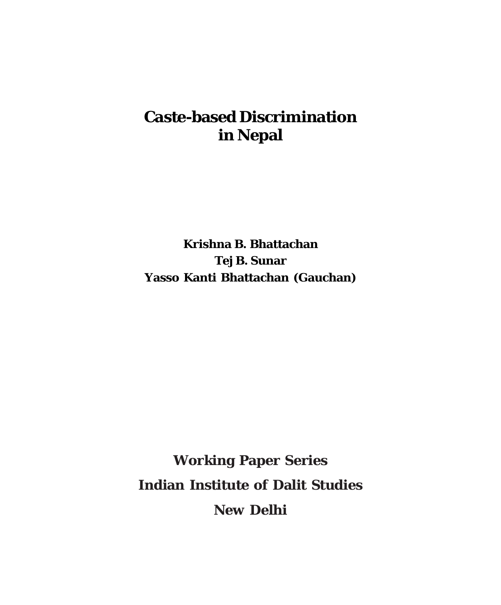# **Caste-based Discrimination in Nepal**

**Krishna B. Bhattachan Tej B. Sunar Yasso Kanti Bhattachan (Gauchan)**

**Working Paper Series Indian Institute of Dalit Studies New Delhi**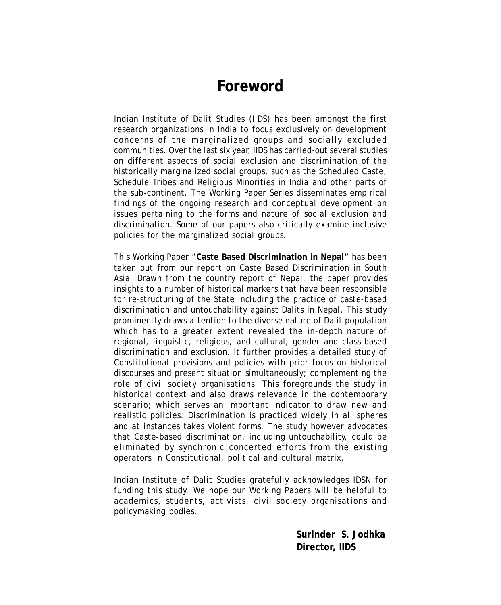## **Foreword**

Indian Institute of Dalit Studies (IIDS) has been amongst the first research organizations in India to focus exclusively on development concerns of the marginalized groups and socially excluded communities. Over the last six year, IIDS has carried-out several studies on different aspects of social exclusion and discrimination of the historically marginalized social groups, such as the Scheduled Caste, Schedule Tribes and Religious Minorities in India and other parts of the sub-continent. The Working Paper Series disseminates empirical findings of the ongoing research and conceptual development on issues pertaining to the forms and nature of social exclusion and discrimination. Some of our papers also critically examine inclusive policies for the marginalized social groups.

This Working Paper "**Caste Based Discrimination in Nepal"** has been taken out from our report on Caste Based Discrimination in South Asia. Drawn from the country report of Nepal, the paper provides insights to a number of historical markers that have been responsible for re-structuring of the State including the practice of caste-based discrimination and untouchability against Dalits in Nepal. This study prominently draws attention to the diverse nature of Dalit population which has to a greater extent revealed the in-depth nature of regional, linguistic, religious, and cultural, gender and class-based discrimination and exclusion. It further provides a detailed study of Constitutional provisions and policies with prior focus on historical discourses and present situation simultaneously; complementing the role of civil society organisations. This foregrounds the study in historical context and also draws relevance in the contemporary scenario; which serves an important indicator to draw new and realistic policies. Discrimination is practiced widely in all spheres and at instances takes violent forms. The study however advocates that Caste-based discrimination, including untouchability, could be eliminated by synchronic concerted efforts from the existing operators in Constitutional, political and cultural matrix.

Indian Institute of Dalit Studies gratefully acknowledges IDSN for funding this study. We hope our Working Papers will be helpful to academics, students, activists, civil society organisations and policymaking bodies.

> **Surinder S. Jodhka Director, IIDS**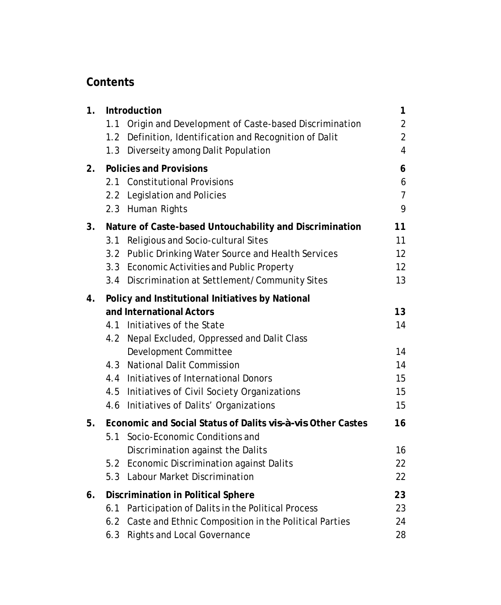## **Contents**

| 1. | Introduction                                                                   | 1              |
|----|--------------------------------------------------------------------------------|----------------|
|    | 1.1<br>Origin and Development of Caste-based Discrimination                    | $\overline{2}$ |
|    | 1.2 Definition, Identification and Recognition of Dalit                        | $\overline{2}$ |
|    | 1.3 Diverseity among Dalit Population                                          | 4              |
| 2. | <b>Policies and Provisions</b>                                                 | 6              |
|    | 2.1 Constitutional Provisions                                                  | 6              |
|    | 2.2 Legislation and Policies                                                   | $\overline{7}$ |
|    | 2.3 Human Rights                                                               | 9              |
| 3. | Nature of Caste-based Untouchability and Discrimination                        | 11             |
|    | Religious and Socio-cultural Sites<br>3.1                                      | 11             |
|    | 3.2 Public Drinking Water Source and Health Services                           | 12             |
|    | 3.3 Economic Activities and Public Property                                    | 12             |
|    | 3.4 Discrimination at Settlement/Community Sites                               | 13             |
| 4. | Policy and Institutional Initiatives by National                               |                |
|    | and International Actors                                                       | 13             |
|    | 4.1 Initiatives of the State                                                   | 14             |
|    | 4.2 Nepal Excluded, Oppressed and Dalit Class                                  |                |
|    | Development Committee                                                          | 14             |
|    | <b>National Dalit Commission</b><br>4.3                                        | 14             |
|    | 4.4 Initiatives of International Donors                                        | 15             |
|    | 4.5 Initiatives of Civil Society Organizations                                 | 15             |
|    | Initiatives of Dalits' Organizations<br>4.6                                    | 15             |
| 5. | Economic and Social Status of Dalits vis-à-vis Other Castes                    | 16             |
|    | Socio-Economic Conditions and<br>5.1                                           |                |
|    | Discrimination against the Dalits                                              | 16<br>22       |
|    | 5.2 Economic Discrimination against Dalits<br>5.3 Labour Market Discrimination | 22             |
|    |                                                                                |                |
| 6. | <b>Discrimination in Political Sphere</b>                                      | 23             |
|    | 6.1 Participation of Dalits in the Political Process                           | 23             |
|    | 6.2 Caste and Ethnic Composition in the Political Parties                      | 24             |
|    | 6.3 Rights and Local Governance                                                | 28             |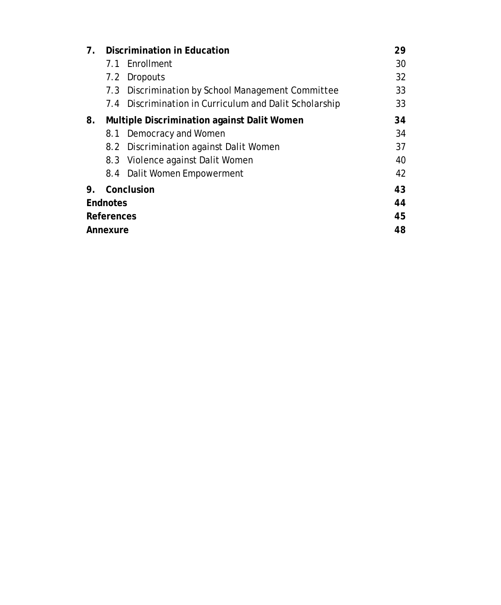| $7_{\scriptscriptstyle{\sim}}$ |    | Discrimination in Education                            | 29 |  |  |  |
|--------------------------------|----|--------------------------------------------------------|----|--|--|--|
|                                |    | 7.1 Fnrollment                                         | 30 |  |  |  |
|                                |    | 7.2 Dropouts                                           | 32 |  |  |  |
|                                |    | 7.3 Discrimination by School Management Committee      | 33 |  |  |  |
|                                |    | 7.4 Discrimination in Curriculum and Dalit Scholarship | 33 |  |  |  |
| 8.                             | 34 |                                                        |    |  |  |  |
|                                |    | 8.1 Democracy and Women                                | 34 |  |  |  |
|                                |    | 8.2 Discrimination against Dalit Women                 | 37 |  |  |  |
|                                |    | 8.3 Violence against Dalit Women                       | 40 |  |  |  |
|                                |    | 8.4 Dalit Women Empowerment                            | 42 |  |  |  |
| 9.                             |    | Conclusion                                             | 43 |  |  |  |
| Endnotes                       | 44 |                                                        |    |  |  |  |
| References                     |    |                                                        |    |  |  |  |
| Annexure                       |    |                                                        |    |  |  |  |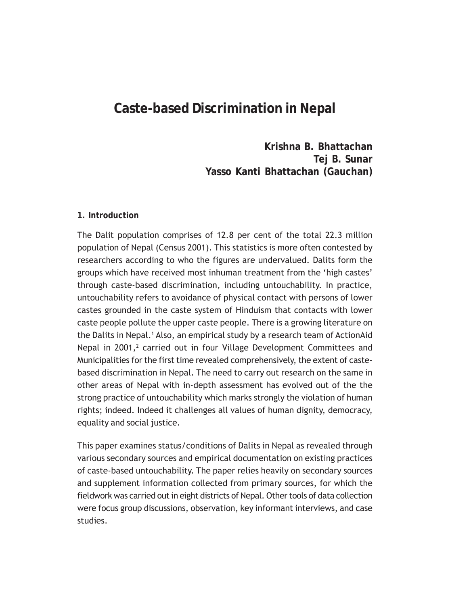# **Caste-based Discrimination in Nepal**

**Krishna B. Bhattachan Tej B. Sunar Yasso Kanti Bhattachan (Gauchan)**

#### **1. Introduction**

The Dalit population comprises of 12.8 per cent of the total 22.3 million population of Nepal (Census 2001). This statistics is more often contested by researchers according to who the figures are undervalued. Dalits form the groups which have received most inhuman treatment from the 'high castes' through caste-based discrimination, including untouchability. In practice, untouchability refers to avoidance of physical contact with persons of lower castes grounded in the caste system of Hinduism that contacts with lower caste people pollute the upper caste people. There is a growing literature on the Dalits in Nepal.<sup>1</sup> Also, an empirical study by a research team of ActionAid Nepal in  $2001$ ,<sup>2</sup> carried out in four Village Development Committees and Municipalities for the first time revealed comprehensively, the extent of castebased discrimination in Nepal. The need to carry out research on the same in other areas of Nepal with in-depth assessment has evolved out of the the strong practice of untouchability which marks strongly the violation of human rights; indeed. Indeed it challenges all values of human dignity, democracy, equality and social justice.

This paper examines status/conditions of Dalits in Nepal as revealed through various secondary sources and empirical documentation on existing practices of caste-based untouchability. The paper relies heavily on secondary sources and supplement information collected from primary sources, for which the fieldwork was carried out in eight districts of Nepal. Other tools of data collection were focus group discussions, observation, key informant interviews, and case studies.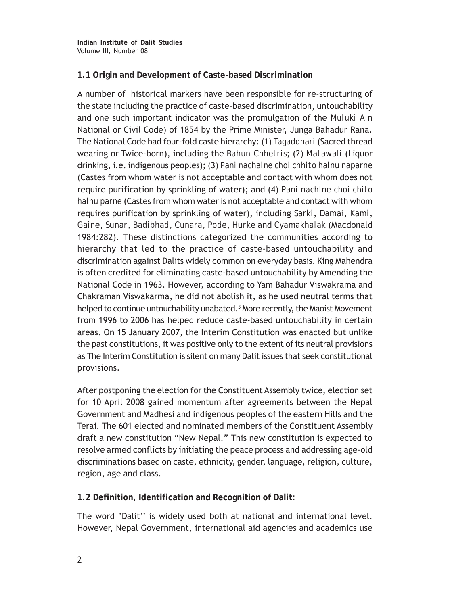## **1.1 Origin and Development of Caste-based Discrimination**

A number of historical markers have been responsible for re-structuring of the state including the practice of caste-based discrimination, untouchability and one such important indicator was the promulgation of the *Muluki Ain* National or Civil Code) of 1854 by the Prime Minister, Junga Bahadur Rana. The National Code had four-fold caste hierarchy: (1) *Tagaddhari* (Sacred thread wearing or Twice-born), including the *Bahun-Chhetris*; (2) *Matawali* (Liquor drinking, i.e. indigenous peoples); (3) *Pani nachalne choi chhito halnu naparne* (Castes from whom water is not acceptable and contact with whom does not require purification by sprinkling of water); and (4) *Pani nachlne choi chito halnu parne* (Castes from whom water is not acceptable and contact with whom requires purification by sprinkling of water), including *Sarki*, *Dama*i, *Kami*, *Gain*e, *Sunar*, *Badibhad*, *Cunara*, *Pode*, *Hurke* and *Cyamakhalak* (Macdonald 1984:282). These distinctions categorized the communities according to hierarchy that led to the practice of caste-based untouchability and discrimination against Dalits widely common on everyday basis. King Mahendra is often credited for eliminating caste-based untouchability by Amending the National Code in 1963. However, according to Yam Bahadur Viswakrama and Chakraman Viswakarma, he did not abolish it, as he used neutral terms that helped to continue untouchability unabated.<sup>3</sup> More recently, the Maoist Movement from 1996 to 2006 has helped reduce caste-based untouchability in certain areas. On 15 January 2007, the Interim Constitution was enacted but unlike the past constitutions, it was positive only to the extent of its neutral provisions as The Interim Constitution is silent on many Dalit issues that seek constitutional provisions.

After postponing the election for the Constituent Assembly twice, election set for 10 April 2008 gained momentum after agreements between the Nepal Government and Madhesi and indigenous peoples of the eastern Hills and the Terai. The 601 elected and nominated members of the Constituent Assembly draft a new constitution "New Nepal." This new constitution is expected to resolve armed conflicts by initiating the peace process and addressing age-old discriminations based on caste, ethnicity, gender, language, religion, culture, region, age and class.

**1.2 Definition, Identification and Recognition of Dalit:**

The word 'Dalit'' is widely used both at national and international level. However, Nepal Government, international aid agencies and academics use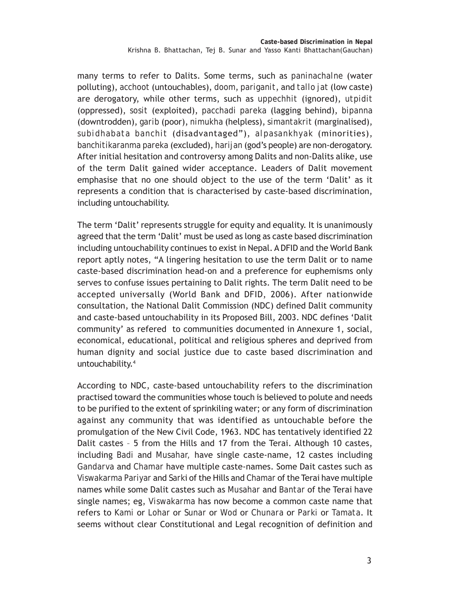many terms to refer to Dalits. Some terms, such as *paninachalne* (water polluting), *acchoot* (untouchables), *doom*, *pariganit*, and *tallo jat* (low caste) are derogatory, while other terms, such as *uppechhit* (ignored), *utpidit* (oppressed), *sosit* (exploited), *pacchadi pareka* (lagging behind), *bipanna* (downtrodden), *garib* (poor), *nimukha* (helpless), *simantakrit* (marginalised), *subidhabata banchit* (disadvantaged"), *alpasankhyak* (minorities), *banchitikaranma pareka* (excluded), *harijan* (god's people) are non-derogatory. After initial hesitation and controversy among Dalits and non-Dalits alike, use of the term Dalit gained wider acceptance. Leaders of Dalit movement emphasise that no one should object to the use of the term 'Dalit' as it represents a condition that is characterised by caste-based discrimination, including untouchability.

The term 'Dalit' represents struggle for equity and equality. It is unanimously agreed that the term 'Dalit' must be used as long as caste based discrimination including untouchability continues to exist in Nepal. A DFID and the World Bank report aptly notes, "A lingering hesitation to use the term Dalit or to name caste-based discrimination head-on and a preference for euphemisms only serves to confuse issues pertaining to Dalit rights. The term Dalit need to be accepted universally (World Bank and DFID, 2006). After nationwide consultation, the National Dalit Commission (NDC) defined Dalit community and caste-based untouchability in its Proposed Bill, 2003. NDC defines 'Dalit community' as refered to communities documented in Annexure 1, social, economical, educational, political and religious spheres and deprived from human dignity and social justice due to caste based discrimination and untouchability.4

According to NDC, caste-based untouchability refers to the discrimination practised toward the communities whose touch is believed to polute and needs to be purified to the extent of sprinkiling water; or any form of discrimination against any community that was identified as untouchable before the promulgation of the New Civil Code, 1963. NDC has tentatively identified 22 Dalit castes – 5 from the Hills and 17 from the Terai. Although 10 castes, including *Badi* and *Musahar,* have single caste-name, 12 castes including *Gandarva* and *Chamar* have multiple caste-names. Some Dait castes such as *Viswakarma Pariyar* and *Sark*i of the Hills and *Chamar* of the Terai have multiple names while some Dalit castes such as *Musahar* and *Bantar* of the Terai have single names; eg, *Viswakarma* has now become a common caste name that refers to *Kami* or *Lohar* or *Sunar* or *Wod* or *Chunara* or *Parki* or *Tamata*. It seems without clear Constitutional and Legal recognition of definition and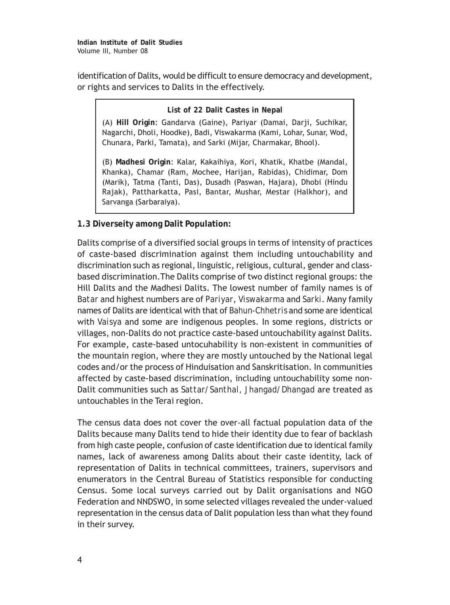identification of Dalits, would be difficult to ensure democracy and development, or rights and services to Dalits in the effectively.

#### **List of 22 Dalit Castes in Nepal**

(A) **Hill Origin**: Gandarva (Gaine), Pariyar (Damai, Darji, Suchikar, Nagarchi, Dholi, Hoodke), Badi, Viswakarma (Kami, Lohar, Sunar, Wod, Chunara, Parki, Tamata), and Sarki (Mijar, Charmakar, Bhool).

(B) **Madhesi Origin**: Kalar, Kakaihiya, Kori, Khatik, Khatbe (Mandal, Khanka), Chamar (Ram, Mochee, Harijan, Rabidas), Chidimar, Dom (Marik), Tatma (Tanti, Das), Dusadh (Paswan, Hajara), Dhobi (Hindu Rajak), Pattharkatta, Pasi, Bantar, Mushar, Mestar (Halkhor), and Sarvanga (Sarbaraiya).

## **1.3 Diverseity among Dalit Population:**

Dalits comprise of a diversified social groups in terms of intensity of practices of caste-based discrimination against them including untouchability and discrimination such as regional, linguistic, religious, cultural, gender and classbased discrimination.The Dalits comprise of two distinct regional groups: the Hill Dalits and the Madhesi Dalits. The lowest number of family names is of *Batar* and highest numbers are of *Pariyar*, *Viswakarma* and *Sarki*. Many family names of Dalits are identical with that of *Bahun-Chhetris* and some are identical with *Vaisya* and some are indigenous peoples. In some regions, districts or villages, non-Dalits do not practice caste-based untouchability against Dalits. For example, caste-based untocuhability is non-existent in communities of the mountain region, where they are mostly untouched by the National legal codes and/or the process of Hinduisation and Sanskritisation. In communities affected by caste-based discrimination, including untouchability some non-Dalit communities such as *Sattar/Santhal, Jhangad/Dhangad* are treated as untouchables in the Terai region.

The census data does not cover the over-all factual population data of the Dalits because many Dalits tend to hide their identity due to fear of backlash from high caste people, confusion of caste identification due to identical family names, lack of awareness among Dalits about their caste identity, lack of representation of Dalits in technical committees, trainers, supervisors and enumerators in the Central Bureau of Statistics responsible for conducting Census. Some local surveys carried out by Dalit organisations and NGO Federation and NNDSWO, in some selected villages revealed the under-valued representation in the census data of Dalit population less than what they found in their survey.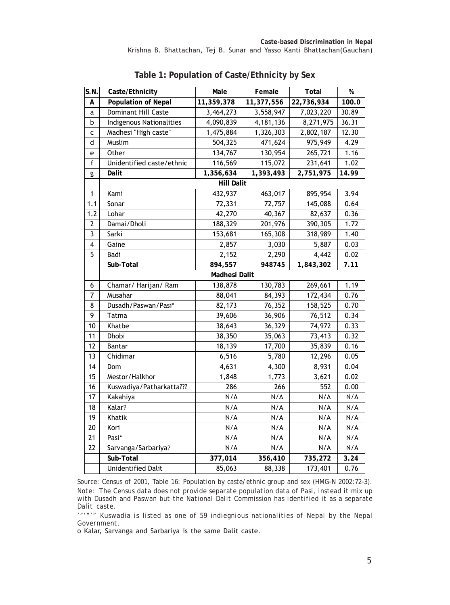| S.N.                    | Caste/Ethnicity            | Male              | Female     | Total      | $\%$  |  |  |  |  |  |  |
|-------------------------|----------------------------|-------------------|------------|------------|-------|--|--|--|--|--|--|
| А                       | <b>Population of Nepal</b> | 11,359,378        | 11,377,556 | 22,736,934 | 100.0 |  |  |  |  |  |  |
| a                       | Dominant Hill Caste        | 3,464,273         | 3,558,947  | 7,023,220  | 30.89 |  |  |  |  |  |  |
| b                       | Indigenous Nationalities   | 4,090,839         | 4,181,136  | 8,271,975  | 36.31 |  |  |  |  |  |  |
| C                       | Madhesi "High caste"       | 1,475,884         | 1,326,303  | 2,802,187  | 12.30 |  |  |  |  |  |  |
| d                       | Muslim                     | 504,325           | 471,624    | 975,949    | 4.29  |  |  |  |  |  |  |
| е                       | Other                      | 134,767           | 130,954    | 265,721    | 1.16  |  |  |  |  |  |  |
| $\mathsf f$             | Unidentified caste/ethnic  | 116,569           | 115,072    | 231,641    | 1.02  |  |  |  |  |  |  |
| g                       | Dalit                      | 1,356,634         | 1,393,493  | 2,751,975  | 14.99 |  |  |  |  |  |  |
|                         |                            | <b>Hill Dalit</b> |            |            |       |  |  |  |  |  |  |
| $\mathbf{1}$            | Kami                       | 432,937           | 463,017    | 895,954    | 3.94  |  |  |  |  |  |  |
| 1.1                     | Sonar                      | 72,331            | 72,757     | 145,088    | 0.64  |  |  |  |  |  |  |
| 1.2                     | Lohar                      | 42,270            | 40,367     | 82,637     | 0.36  |  |  |  |  |  |  |
| $\overline{\mathbf{c}}$ | Damai/Dholi                | 188,329           | 201,976    | 390,305    | 1.72  |  |  |  |  |  |  |
| 3                       | Sarki                      | 153,681           | 165,308    | 318,989    | 1.40  |  |  |  |  |  |  |
| 4                       | Gaine                      | 2,857             | 3,030      | 5,887      | 0.03  |  |  |  |  |  |  |
| 5                       | Badi                       | 2,152             | 2,290      | 4,442      | 0.02  |  |  |  |  |  |  |
|                         | Sub-Total                  | 894,557           | 948745     | 1,843,302  | 7.11  |  |  |  |  |  |  |
|                         | Madhesi Dalit              |                   |            |            |       |  |  |  |  |  |  |
| 6                       | Chamar/ Harijan/ Ram       | 138,878           | 130,783    | 269,661    | 1.19  |  |  |  |  |  |  |
| $\overline{7}$          | Musahar                    | 88,041            | 84,393     | 172,434    | 0.76  |  |  |  |  |  |  |
| 8                       | Dusadh/Paswan/Pasi*        | 82,173            | 76,352     | 158,525    | 0.70  |  |  |  |  |  |  |
| 9                       | Tatma                      | 39,606            | 36,906     | 76,512     | 0.34  |  |  |  |  |  |  |
| 10                      | Khatbe                     | 38,643            | 36,329     | 74,972     | 0.33  |  |  |  |  |  |  |
| 11                      | Dhobi                      | 38,350            | 35,063     | 73,413     | 0.32  |  |  |  |  |  |  |
| 12                      | Bantar                     | 18,139            | 17,700     | 35,839     | 0.16  |  |  |  |  |  |  |
| 13                      | Chidimar                   | 6,516             | 5,780      | 12,296     | 0.05  |  |  |  |  |  |  |
| 14                      | Dom                        | 4,631             | 4,300      | 8,931      | 0.04  |  |  |  |  |  |  |
| 15                      | Mestor/Halkhor             | 1,848             | 1,773      | 3,621      | 0.02  |  |  |  |  |  |  |
| 16                      | Kuswadiya/Patharkatta???   | 286               | 266        | 552        | 0.00  |  |  |  |  |  |  |
| 17                      | Kakahiya                   | N/A               | N/A        | N/A        | N/A   |  |  |  |  |  |  |
| 18                      | Kalar?                     | N/A               | N/A        | N/A        | N/A   |  |  |  |  |  |  |
| 19                      | Khatik                     | N/A               | N/A        | N/A        | N/A   |  |  |  |  |  |  |
| 20                      | Kori                       | N/A               | N/A        | N/A        | N/A   |  |  |  |  |  |  |
| 21                      | Pasi*                      | N/A               | N/A        | N/A        | N/A   |  |  |  |  |  |  |
| 22                      | Sarvanga/Sarbariya?        | N/A               | N/A        | N/A        | N/A   |  |  |  |  |  |  |
|                         | Sub-Total                  | 377,014           | 356,410    | 735,272    | 3.24  |  |  |  |  |  |  |
|                         | <b>Unidentified Dalit</b>  | 85,063            | 88,338     | 173,401    | 0.76  |  |  |  |  |  |  |

**Table 1: Population of Caste/Ethnicity by Sex**

*Source: Census of 2001, Table 16: Population by caste/ethnic group and sex (HMG-N 2002:72-3). Note: The Census data does not provide separate population data of Pasi, instead it mix up with Dusadh and Paswan but the National Dalit Commission has identified it as a separate Dalit caste.*

*'"'"'" Kuswadia is listed as one of 59 indiegnious nationalities of Nepal by the Nepal Government.*

o Kalar, Sarvanga and Sarbariya is the same Dalit caste.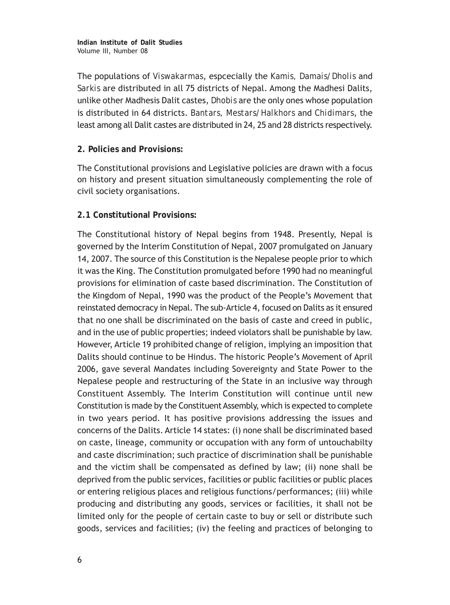The populations of *Viswakarmas*, espcecially the *Kamis, Damais/Dholis* and *Sarkis* are distributed in all 75 districts of Nepal. Among the Madhesi Dalits, unlike other Madhesis Dalit castes, *Dhobis* are the only ones whose population is distributed in 64 districts. *Bantars, Mestars/Halkhors* and *Chidimars*, the least among all Dalit castes are distributed in 24, 25 and 28 districts respectively.

#### **2. Policies and Provisions:**

The Constitutional provisions and Legislative policies are drawn with a focus on history and present situation simultaneously complementing the role of civil society organisations.

## **2.1 Constitutional Provisions:**

The Constitutional history of Nepal begins from 1948. Presently, Nepal is governed by the Interim Constitution of Nepal, 2007 promulgated on January 14, 2007. The source of this Constitution is the Nepalese people prior to which it was the King. The Constitution promulgated before 1990 had no meaningful provisions for elimination of caste based discrimination. The Constitution of the Kingdom of Nepal, 1990 was the product of the People's Movement that reinstated democracy in Nepal. The sub-Article 4, focused on Dalits as it ensured that no one shall be discriminated on the basis of caste and creed in public, and in the use of public properties; indeed violators shall be punishable by law. However, Article 19 prohibited change of religion, implying an imposition that Dalits should continue to be Hindus. The historic People's Movement of April 2006, gave several Mandates including Sovereignty and State Power to the Nepalese people and restructuring of the State in an inclusive way through Constituent Assembly. The Interim Constitution will continue until new Constitution is made by the Constituent Assembly, which is expected to complete in two years period. It has positive provisions addressing the issues and concerns of the Dalits. Article 14 states: (i) none shall be discriminated based on caste, lineage, community or occupation with any form of untouchabilty and caste discrimination; such practice of discrimination shall be punishable and the victim shall be compensated as defined by law; (ii) none shall be deprived from the public services, facilities or public facilities or public places or entering religious places and religious functions/performances; (iii) while producing and distributing any goods, services or facilities, it shall not be limited only for the people of certain caste to buy or sell or distribute such goods, services and facilities; (iv) the feeling and practices of belonging to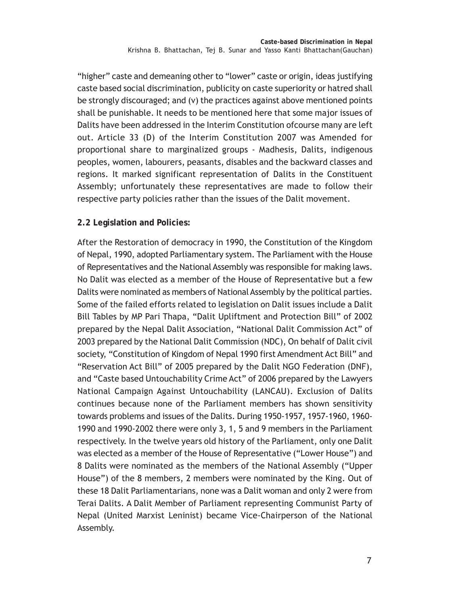"higher" caste and demeaning other to "lower" caste or origin, ideas justifying caste based social discrimination, publicity on caste superiority or hatred shall be strongly discouraged; and (v) the practices against above mentioned points shall be punishable. It needs to be mentioned here that some major issues of Dalits have been addressed in the Interim Constitution ofcourse many are left out. Article 33 (D) of the Interim Constitution 2007 was Amended for proportional share to marginalized groups - Madhesis, Dalits, indigenous peoples, women, labourers, peasants, disables and the backward classes and regions. It marked significant representation of Dalits in the Constituent Assembly; unfortunately these representatives are made to follow their respective party policies rather than the issues of the Dalit movement.

## **2.2 Legislation and Policies:**

After the Restoration of democracy in 1990, the Constitution of the Kingdom of Nepal, 1990, adopted Parliamentary system. The Parliament with the House of Representatives and the National Assembly was responsible for making laws. No Dalit was elected as a member of the House of Representative but a few Dalits were nominated as members of National Assembly by the political parties. Some of the failed efforts related to legislation on Dalit issues include a Dalit Bill Tables by MP Pari Thapa, "Dalit Upliftment and Protection Bill" of 2002 prepared by the Nepal Dalit Association, "National Dalit Commission Act" of 2003 prepared by the National Dalit Commission (NDC), On behalf of Dalit civil society, "Constitution of Kingdom of Nepal 1990 first Amendment Act Bill" and "Reservation Act Bill" of 2005 prepared by the Dalit NGO Federation (DNF), and "Caste based Untouchability Crime Act" of 2006 prepared by the Lawyers National Campaign Against Untouchability (LANCAU). Exclusion of Dalits continues because none of the Parliament members has shown sensitivity towards problems and issues of the Dalits. During 1950-1957, 1957-1960, 1960- 1990 and 1990-2002 there were only 3, 1, 5 and 9 members in the Parliament respectively. In the twelve years old history of the Parliament, only one Dalit was elected as a member of the House of Representative ("Lower House") and 8 Dalits were nominated as the members of the National Assembly ("Upper House") of the 8 members, 2 members were nominated by the King. Out of these 18 Dalit Parliamentarians, none was a Dalit woman and only 2 were from Terai Dalits. A Dalit Member of Parliament representing Communist Party of Nepal (United Marxist Leninist) became Vice-Chairperson of the National Assembly.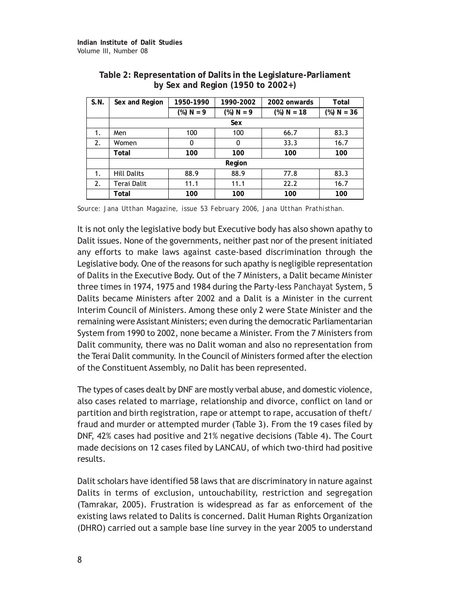| S.N. | Sex and Region     | 1950-1990    | 1990-2002                    | 2002 onwards | Total        |
|------|--------------------|--------------|------------------------------|--------------|--------------|
|      |                    | $(\%) N = 9$ | $(\%) N = 9$<br>$%$ ) N = 18 |              | $%$ ) N = 36 |
|      |                    |              | Sex                          |              |              |
| 1.   | Men                | 100          | 100                          | 66.7         | 83.3         |
| 2.   | Women              | 0            | $\mathbf{0}$                 | 33.3         | 16.7         |
|      | Total              | 100          | 100                          | 100          | 100          |
|      |                    |              | Region                       |              |              |
| 1.   | <b>Hill Dalits</b> | 88.9         | 88.9                         | 77.8         | 83.3         |
| 2.   | Terai Dalit        | 11.1         | 11.1                         | 22.2         | 16.7         |
|      | Total              | 100          | 100                          | 100          | 100          |

| Table 2: Representation of Dalits in the Legislature-Parliament |
|-----------------------------------------------------------------|
| by Sex and Region $(1950 \text{ to } 2002+)$                    |

*Source: Jana Utthan Magazine, issue 53 February 2006, Jana Utthan Prathisthan.*

It is not only the legislative body but Executive body has also shown apathy to Dalit issues. None of the governments, neither past nor of the present initiated any efforts to make laws against caste-based discrimination through the Legislative body. One of the reasons for such apathy is negligible representation of Dalits in the Executive Body. Out of the 7 Ministers, a Dalit became Minister three times in 1974, 1975 and 1984 during the Party-less *Panchayat* System, 5 Dalits became Ministers after 2002 and a Dalit is a Minister in the current Interim Council of Ministers. Among these only 2 were State Minister and the remaining were Assistant Ministers; even during the democratic Parliamentarian System from 1990 to 2002, none became a Minister. From the 7 Ministers from Dalit community, there was no Dalit woman and also no representation from the Terai Dalit community. In the Council of Ministers formed after the election of the Constituent Assembly, no Dalit has been represented.

The types of cases dealt by DNF are mostly verbal abuse, and domestic violence, also cases related to marriage, relationship and divorce, conflict on land or partition and birth registration, rape or attempt to rape, accusation of theft/ fraud and murder or attempted murder (Table 3). From the 19 cases filed by DNF, 42% cases had positive and 21% negative decisions (Table 4). The Court made decisions on 12 cases filed by LANCAU, of which two-third had positive results.

Dalit scholars have identified 58 laws that are discriminatory in nature against Dalits in terms of exclusion, untouchability, restriction and segregation (Tamrakar, 2005). Frustration is widespread as far as enforcement of the existing laws related to Dalits is concerned. Dalit Human Rights Organization (DHRO) carried out a sample base line survey in the year 2005 to understand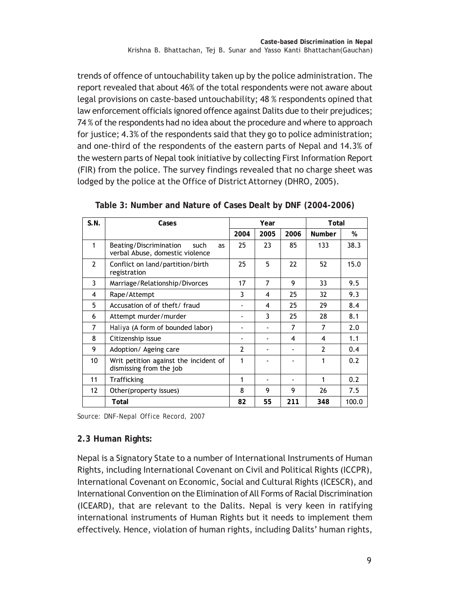trends of offence of untouchability taken up by the police administration. The report revealed that about 46% of the total respondents were not aware about legal provisions on caste-based untouchability; 48 % respondents opined that law enforcement officials ignored offence against Dalits due to their prejudices; 74 % of the respondents had no idea about the procedure and where to approach for justice; 4.3% of the respondents said that they go to police administration; and one-third of the respondents of the eastern parts of Nepal and 14.3% of the western parts of Nepal took initiative by collecting First Information Report (FIR) from the police. The survey findings revealed that no charge sheet was lodged by the police at the Office of District Attorney (DHRO, 2005).

| S.N.              | Cases                                                                   |                | Year           |      | Total         |       |  |
|-------------------|-------------------------------------------------------------------------|----------------|----------------|------|---------------|-------|--|
|                   |                                                                         | 2004           | 2005           | 2006 | <b>Number</b> | %     |  |
| 1                 | Beating/Discrimination<br>such<br>as<br>verbal Abuse, domestic violence | 25             | 23             | 85   | 133           | 38.3  |  |
| $\overline{2}$    | Conflict on land/partition/birth<br>registration                        | 25             | 5              | 22   | 52            | 15.0  |  |
| 3                 | Marriage/Relationship/Divorces                                          | 17             | $\overline{7}$ | 9    | 33            | 9.5   |  |
| 4                 | Rape/Attempt                                                            | 3              | 4              | 25   | 32            | 9.3   |  |
| 5                 | Accusation of of theft/fraud                                            |                | 4              | 25   | 29            | 8.4   |  |
| 6                 | Attempt murder/murder                                                   |                | 3              | 25   | 28            | 8.1   |  |
| 7                 | Haliya (A form of bounded labor)                                        |                |                | 7    | 7             | 2.0   |  |
| 8                 | Citizenship issue                                                       |                |                | 4    | 4             | 1.1   |  |
| 9                 | Adoption/ Ageing care                                                   | $\overline{2}$ |                |      | $\mathcal{P}$ | 0.4   |  |
| 10                | Writ petition against the incident of<br>dismissing from the job        | 1              |                |      | 1             | 0.2   |  |
| 11                | Trafficking                                                             | 1              |                |      | 1             | 0.2   |  |
| $12 \overline{ }$ | Other(property issues)                                                  | 8              | 9              | 9    | 26            | 7.5   |  |
|                   | Total                                                                   | 82             | 55             | 211  | 348           | 100.0 |  |

**Table 3: Number and Nature of Cases Dealt by DNF (2004-2006)**

*Source: DNF-Nepal Office Record, 2007*

## **2.3 Human Rights:**

Nepal is a Signatory State to a number of International Instruments of Human Rights, including International Covenant on Civil and Political Rights (ICCPR), International Covenant on Economic, Social and Cultural Rights (ICESCR), and International Convention on the Elimination of All Forms of Racial Discrimination (ICEARD), that are relevant to the Dalits. Nepal is very keen in ratifying international instruments of Human Rights but it needs to implement them effectively. Hence, violation of human rights, including Dalits' human rights,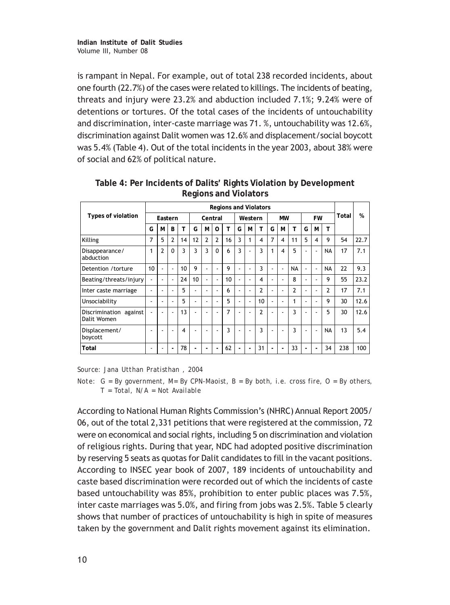is rampant in Nepal. For example, out of total 238 recorded incidents, about one fourth (22.7%) of the cases were related to killings. The incidents of beating, threats and injury were 23.2% and abduction included 7.1%; 9.24% were of detentions or tortures. Of the total cases of the incidents of untouchability and discrimination, inter-caste marriage was 71. %, untouchability was 12.6%, discrimination against Dalit women was 12.6% and displacement/social boycott was 5.4% (Table 4). Out of the total incidents in the year 2003, about 38% were of social and 62% of political nature.

|                                       |                          | <b>Regions and Violators</b> |                          |    |         |              |                          |    |                |   |           |   |                          |                |                          |    |           |     |      |
|---------------------------------------|--------------------------|------------------------------|--------------------------|----|---------|--------------|--------------------------|----|----------------|---|-----------|---|--------------------------|----------------|--------------------------|----|-----------|-----|------|
| Types of violation                    | Eastern                  |                              |                          |    | Central |              | Western                  |    | <b>MW</b>      |   | <b>FW</b> |   |                          | Total          | %                        |    |           |     |      |
|                                       | G                        | M                            | B                        | т  | G       | M            | O                        | т  | G              | M | T         | G | M                        | т              | G                        | M  | T         |     |      |
| Killing                               | 7                        | 5                            | $\mathcal{P}$            | 14 | 12      | $\mathbf{2}$ | $\overline{2}$           | 16 | 3              | 1 | 4         | 7 | 4                        | 11             | 5                        | 4  | 9         | 54  | 22.7 |
| Disappearance/<br>abduction           | 1                        | $\overline{2}$               | $\Omega$                 | 3  | 3       | 3            | $\Omega$                 | 6  | 3              |   | 3         |   | 4                        | 5              |                          | ÷  | <b>NA</b> | 17  | 7.1  |
| Detention / torture                   | 10                       | $\overline{\phantom{a}}$     | $\overline{\phantom{a}}$ | 10 | 9       |              | ÷                        | 9  |                | ۰ | 3         |   | $\overline{\phantom{a}}$ | <b>NA</b>      | $\overline{\phantom{a}}$ | ٠  | <b>NA</b> | 22  | 9.3  |
| Beating/threats/injury                |                          | $\blacksquare$               | $\sim$                   | 24 | 10      |              | $\overline{\phantom{a}}$ | 10 | $\blacksquare$ | ٠ | 4         |   | $\overline{\phantom{a}}$ | 8              | ٠                        | J. | 9         | 55  | 23.2 |
| Inter caste marriage                  | $\overline{\phantom{a}}$ | $\overline{\phantom{a}}$     |                          | 5  | ٠       |              | ٠                        | 6  | ٠              | ٠ | 2         |   | ٠                        | $\overline{2}$ | ٠                        |    | 2         | 17  | 7.1  |
| Unsociability                         | $\overline{\phantom{a}}$ |                              |                          | 5  | ٠       |              |                          | 5  |                | ٠ | 10        |   | ٠                        |                | $\overline{\phantom{a}}$ |    | 9         | 30  | 12.6 |
| Discrimination against<br>Dalit Women | $\overline{\phantom{a}}$ | $\overline{\phantom{a}}$     | ÷                        | 13 | ٠       | ۰            | ٠                        | 7  |                |   | 2         |   | ٠                        | 3              | ٠                        | ٠  | 5         | 30  | 12.6 |
| Displacement/<br>boycott              | $\overline{\phantom{a}}$ | ٠                            | ٠                        | 4  | ٠       |              | ٠                        | 3  |                | ٠ | 3         |   | $\overline{\phantom{a}}$ | 3              | $\overline{\phantom{a}}$ | ÷  | <b>NA</b> | 13  | 5.4  |
| Total                                 | $\overline{\phantom{a}}$ |                              |                          | 78 |         |              |                          | 62 |                |   | 31        |   | $\overline{\phantom{a}}$ | 33             |                          |    | 34        | 238 | 100  |

**Table 4: Per Incidents of Dalits' Rights Violation by Development Regions and Violators**

*Source: Jana Utthan Pratisthan , 2004*

According to National Human Rights Commission's (NHRC) Annual Report 2005/ 06, out of the total 2,331 petitions that were registered at the commission, 72 were on economical and social rights, including 5 on discrimination and violation of religious rights. During that year, NDC had adopted positive discrimination by reserving 5 seats as quotas for Dalit candidates to fill in the vacant positions. According to INSEC year book of 2007, 189 incidents of untouchability and caste based discrimination were recorded out of which the incidents of caste based untouchability was 85%, prohibition to enter public places was 7.5%, inter caste marriages was 5.0%, and firing from jobs was 2.5%. Table 5 clearly shows that number of practices of untouchability is high in spite of measures taken by the government and Dalit rights movement against its elimination.

*Note: G = By government, M= By CPN-Maoist, B = By both, i.e. cross fire, O = By others, T = Total, N/A = Not Available*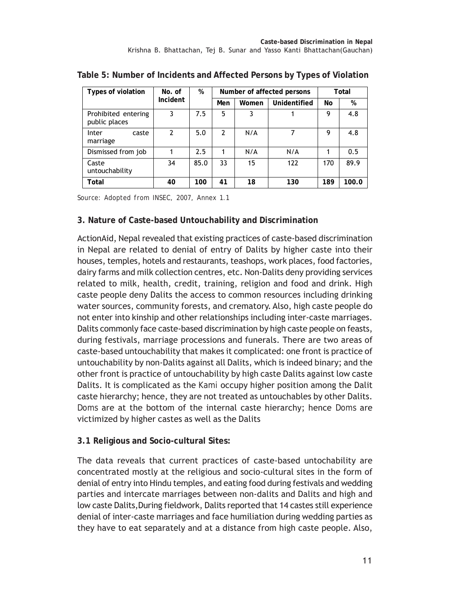| Types of violation                   | No. of        | %    |               | Number of affected persons | Total        |     |       |
|--------------------------------------|---------------|------|---------------|----------------------------|--------------|-----|-------|
|                                      | Incident      |      | Men           | Women                      | Unidentified | No  | %     |
| Prohibited entering<br>public places |               | 7.5  | 5             | 3                          |              |     | 4.8   |
| Inter<br>caste<br>marriage           | $\mathcal{P}$ | 5.0  | $\mathfrak z$ | N/A                        |              | 9   | 4.8   |
| Dismissed from job                   |               | 2.5  |               | N/A                        | N/A          |     | 0.5   |
| Caste<br>untouchability              | 34            | 85.0 | 33            | 15                         | 122          | 170 | 89.9  |
| Total                                | 40            | 100  | 41            | 18                         | 130          | 189 | 100.0 |

**Table 5: Number of Incidents and Affected Persons by Types of Violation**

*Source: Adopted from INSEC, 2007, Annex 1.1*

#### **3. Nature of Caste-based Untouchability and Discrimination**

ActionAid, Nepal revealed that existing practices of caste-based discrimination in Nepal are related to denial of entry of Dalits by higher caste into their houses, temples, hotels and restaurants, teashops, work places, food factories, dairy farms and milk collection centres, etc. Non-Dalits deny providing services related to milk, health, credit, training, religion and food and drink. High caste people deny Dalits the access to common resources including drinking water sources, community forests, and crematory. Also, high caste people do not enter into kinship and other relationships including inter-caste marriages. Dalits commonly face caste-based discrimination by high caste people on feasts, during festivals, marriage processions and funerals. There are two areas of caste-based untouchability that makes it complicated: one front is practice of untouchability by non-Dalits against all Dalits, which is indeed binary; and the other front is practice of untouchability by high caste Dalits against low caste Dalits. It is complicated as the *Kami* occupy higher position among the Dalit caste hierarchy; hence, they are not treated as untouchables by other Dalits. *Doms* are at the bottom of the internal caste hierarchy; hence *Doms* are victimized by higher castes as well as the Dalits

#### **3.1 Religious and Socio-cultural Sites:**

The data reveals that current practices of caste-based untochability are concentrated mostly at the religious and socio-cultural sites in the form of denial of entry into Hindu temples, and eating food during festivals and wedding parties and intercate marriages between non-dalits and Dalits and high and low caste Dalits,During fieldwork, Dalits reported that 14 castes still experience denial of inter-caste marriages and face humiliation during wedding parties as they have to eat separately and at a distance from high caste people. Also,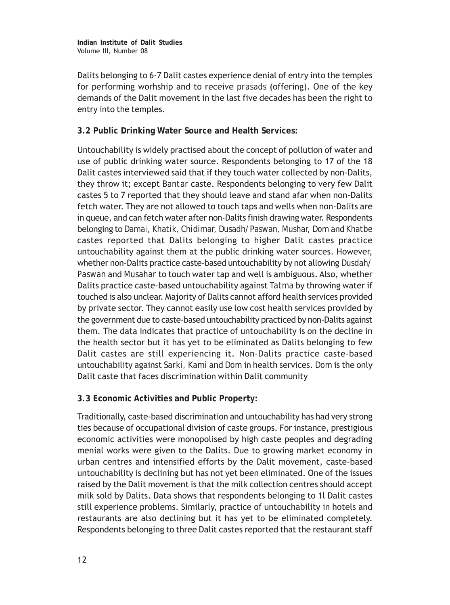Dalits belonging to 6-7 Dalit castes experience denial of entry into the temples for performing worhship and to receive *prasads* (offering). One of the key demands of the Dalit movement in the last five decades has been the right to entry into the temples.

## **3.2 Public Drinking Water Source and Health Services:**

Untouchability is widely practised about the concept of pollution of water and use of public drinking water source. Respondents belonging to 17 of the 18 Dalit castes interviewed said that if they touch water collected by non-Dalits, they throw it; except *Bantar* caste. Respondents belonging to very few Dalit castes 5 to 7 reported that they should leave and stand afar when non-Dalits fetch water. They are not allowed to touch taps and wells when non-Dalits are in queue, and can fetch water after non-Dalits finish drawing water. Respondents belonging to *Damai, Khatik, Chidimar, Dusadh/Paswan, Mushar, Dom* and *Khatbe* castes reported that Dalits belonging to higher Dalit castes practice untouchability against them at the public drinking water sources. However, whether non-Dalits practice caste-based untouchability by not allowing *Dusdah/ Paswan* and *Musahar* to touch water tap and well is ambiguous. Also, whether Dalits practice caste-based untouchability against *Tatma* by throwing water if touched is also unclear. Majority of Dalits cannot afford health services provided by private sector. They cannot easily use low cost health services provided by the government due to caste-based untouchability practiced by non-Dalits against them. The data indicates that practice of untouchability is on the decline in the health sector but it has yet to be eliminated as Dalits belonging to few Dalit castes are still experiencing it. Non-Dalits practice caste-based untouchability against *Sarki, Kami* and *Dom* in health services. *Dom* is the only Dalit caste that faces discrimination within Dalit community

#### **3.3 Economic Activities and Public Property:**

Traditionally, caste-based discrimination and untouchability has had very strong ties because of occupational division of caste groups. For instance, prestigious economic activities were monopolised by high caste peoples and degrading menial works were given to the Dalits. Due to growing market economy in urban centres and intensified efforts by the Dalit movement, caste-based untouchability is declining but has not yet been eliminated. One of the issues raised by the Dalit movement is that the milk collection centres should accept milk sold by Dalits. Data shows that respondents belonging to 1l Dalit castes still experience problems. Similarly, practice of untouchability in hotels and restaurants are also declining but it has yet to be eliminated completely. Respondents belonging to three Dalit castes reported that the restaurant staff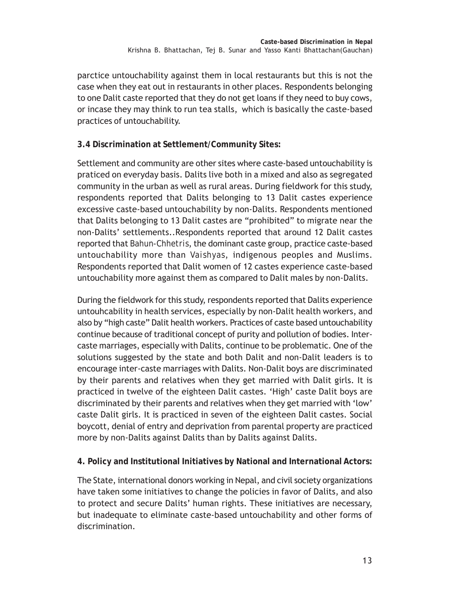parctice untouchability against them in local restaurants but this is not the case when they eat out in restaurants in other places. Respondents belonging to one Dalit caste reported that they do not get loans if they need to buy cows, or incase they may think to run tea stalls, which is basically the caste-based practices of untouchability.

## **3.4 Discrimination at Settlement/Community Sites:**

Settlement and community are other sites where caste-based untouchability is praticed on everyday basis. Dalits live both in a mixed and also as segregated community in the urban as well as rural areas. During fieldwork for this study, respondents reported that Dalits belonging to 13 Dalit castes experience excessive caste-based untouchability by non-Dalits. Respondents mentioned that Dalits belonging to 13 Dalit castes are "prohibited" to migrate near the non-Dalits' settlements..Respondents reported that around 12 Dalit castes reported that *Bahun-Chhetris*, the dominant caste group, practice caste-based untouchability more than *Vaishyas*, indigenous peoples and Muslims. Respondents reported that Dalit women of 12 castes experience caste-based untouchability more against them as compared to Dalit males by non-Dalits.

During the fieldwork for this study, respondents reported that Dalits experience untouhcability in health services, especially by non-Dalit health workers, and also by "high caste" Dalit health workers. Practices of caste based untouchability continue because of traditional concept of purity and pollution of bodies. Intercaste marriages, especially with Dalits, continue to be problematic. One of the solutions suggested by the state and both Dalit and non-Dalit leaders is to encourage inter-caste marriages with Dalits. Non-Dalit boys are discriminated by their parents and relatives when they get married with Dalit girls. It is practiced in twelve of the eighteen Dalit castes. 'High' caste Dalit boys are discriminated by their parents and relatives when they get married with 'low' caste Dalit girls. It is practiced in seven of the eighteen Dalit castes. Social boycott, denial of entry and deprivation from parental property are practiced more by non-Dalits against Dalits than by Dalits against Dalits.

## **4. Policy and Institutional Initiatives by National and International Actors:**

The State, international donors working in Nepal, and civil society organizations have taken some initiatives to change the policies in favor of Dalits, and also to protect and secure Dalits' human rights. These initiatives are necessary, but inadequate to eliminate caste-based untouchability and other forms of discrimination.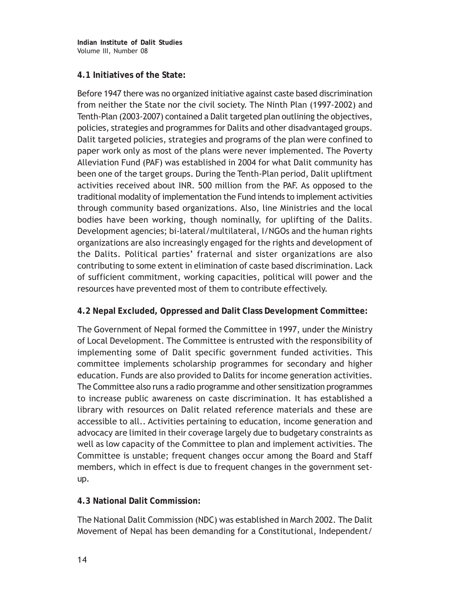**Indian Institute of Dalit Studies** Volume III, Number 08

#### **4.1 Initiatives of the State:**

Before 1947 there was no organized initiative against caste based discrimination from neither the State nor the civil society. The Ninth Plan (1997-2002) and Tenth-Plan (2003-2007) contained a Dalit targeted plan outlining the objectives, policies, strategies and programmes for Dalits and other disadvantaged groups. Dalit targeted policies, strategies and programs of the plan were confined to paper work only as most of the plans were never implemented. The Poverty Alleviation Fund (PAF) was established in 2004 for what Dalit community has been one of the target groups. During the Tenth-Plan period, Dalit upliftment activities received about INR. 500 million from the PAF. As opposed to the traditional modality of implementation the Fund intends to implement activities through community based organizations. Also, line Ministries and the local bodies have been working, though nominally, for uplifting of the Dalits. Development agencies; bi-lateral/multilateral, I/NGOs and the human rights organizations are also increasingly engaged for the rights and development of the Dalits. Political parties' fraternal and sister organizations are also contributing to some extent in elimination of caste based discrimination. Lack of sufficient commitment, working capacities, political will power and the resources have prevented most of them to contribute effectively.

## **4.2 Nepal Excluded, Oppressed and Dalit Class Development Committee:**

The Government of Nepal formed the Committee in 1997, under the Ministry of Local Development. The Committee is entrusted with the responsibility of implementing some of Dalit specific government funded activities. This committee implements scholarship programmes for secondary and higher education. Funds are also provided to Dalits for income generation activities. The Committee also runs a radio programme and other sensitization programmes to increase public awareness on caste discrimination. It has established a library with resources on Dalit related reference materials and these are accessible to all.. Activities pertaining to education, income generation and advocacy are limited in their coverage largely due to budgetary constraints as well as low capacity of the Committee to plan and implement activities. The Committee is unstable; frequent changes occur among the Board and Staff members, which in effect is due to frequent changes in the government setup.

## **4.3 National Dalit Commission:**

The National Dalit Commission (NDC) was established in March 2002. The Dalit Movement of Nepal has been demanding for a Constitutional, Independent/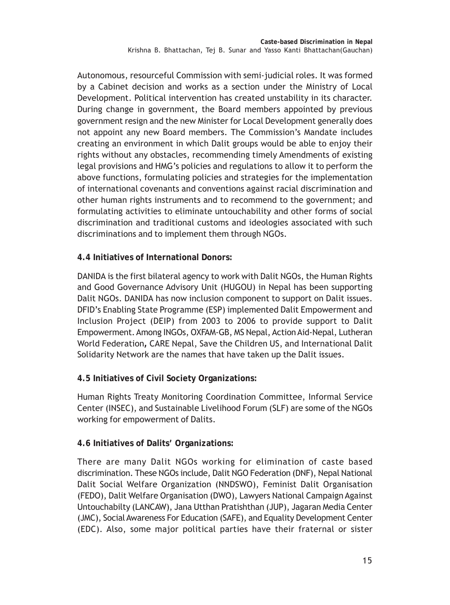Autonomous, resourceful Commission with semi-judicial roles. It was formed by a Cabinet decision and works as a section under the Ministry of Local Development. Political intervention has created unstability in its character. During change in government, the Board members appointed by previous government resign and the new Minister for Local Development generally does not appoint any new Board members. The Commission's Mandate includes creating an environment in which Dalit groups would be able to enjoy their rights without any obstacles, recommending timely Amendments of existing legal provisions and HMG's policies and regulations to allow it to perform the above functions, formulating policies and strategies for the implementation of international covenants and conventions against racial discrimination and other human rights instruments and to recommend to the government; and formulating activities to eliminate untouchability and other forms of social discrimination and traditional customs and ideologies associated with such discriminations and to implement them through NGOs.

**4.4 Initiatives of International Donors:**

DANIDA is the first bilateral agency to work with Dalit NGOs, the Human Rights and Good Governance Advisory Unit (HUGOU) in Nepal has been supporting Dalit NGOs. DANIDA has now inclusion component to support on Dalit issues. DFID's Enabling State Programme (ESP) implemented Dalit Empowerment and Inclusion Project (DEIP) from 2003 to 2006 to provide support to Dalit Empowerment. Among INGOs, OXFAM-GB, MS Nepal, Action Aid-Nepal, Lutheran World Federation**,** CARE Nepal, Save the Children US, and International Dalit Solidarity Network are the names that have taken up the Dalit issues.

**4.5 Initiatives of Civil Society Organizations***:*

Human Rights Treaty Monitoring Coordination Committee, Informal Service Center (INSEC), and Sustainable Livelihood Forum (SLF) are some of the NGOs working for empowerment of Dalits.

## **4.6 Initiatives of Dalits' Organizations:**

There are many Dalit NGOs working for elimination of caste based discrimination. These NGOs include, Dalit NGO Federation (DNF), Nepal National Dalit Social Welfare Organization (NNDSWO), Feminist Dalit Organisation (FEDO), Dalit Welfare Organisation (DWO), Lawyers National Campaign Against Untouchabilty (LANCAW), Jana Utthan Pratishthan (JUP), Jagaran Media Center (JMC), Social Awareness For Education (SAFE), and Equality Development Center (EDC). Also, some major political parties have their fraternal or sister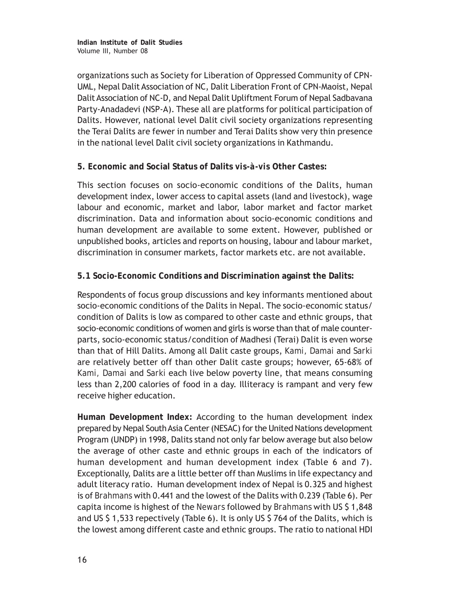organizations such as Society for Liberation of Oppressed Community of CPN-UML, Nepal Dalit Association of NC, Dalit Liberation Front of CPN-Maoist, Nepal Dalit Association of NC-D, and Nepal Dalit Upliftment Forum of Nepal Sadbavana Party-Anadadevi (NSP-A). These all are platforms for political participation of Dalits. However, national level Dalit civil society organizations representing the Terai Dalits are fewer in number and Terai Dalits show very thin presence in the national level Dalit civil society organizations in Kathmandu.

## **5. Economic and Social Status of Dalits** *vis-à-vis* **Other Castes:**

This section focuses on socio-economic conditions of the Dalits, human development index, lower access to capital assets (land and livestock), wage labour and economic, market and labor, labor market and factor market discrimination. Data and information about socio-economic conditions and human development are available to some extent. However, published or unpublished books, articles and reports on housing, labour and labour market, discrimination in consumer markets, factor markets etc. are not available.

## **5.1 Socio-Economic Conditions and Discrimination against the Dalits:**

Respondents of focus group discussions and key informants mentioned about socio-economic conditions of the Dalits in Nepal. The socio-economic status/ condition of Dalits is low as compared to other caste and ethnic groups, that socio-economic conditions of women and girls is worse than that of male counterparts, socio-economic status/condition of Madhesi (Terai) Dalit is even worse than that of Hill Dalits. Among all Dalit caste groups, *Kami, Damai* and *Sarki* are relatively better off than other Dalit caste groups; however, 65-68% of *Kami, Damai* and *Sarki* each live below poverty line, that means consuming less than 2,200 calories of food in a day. Illiteracy is rampant and very few receive higher education.

**Human Development Index:** According to the human development index prepared by Nepal South Asia Center (NESAC) for the United Nations development Program (UNDP) in 1998, Dalits stand not only far below average but also below the average of other caste and ethnic groups in each of the indicators of human development and human development index (Table 6 and 7). Exceptionally, Dalits are a little better off than Muslims in life expectancy and adult literacy ratio. Human development index of Nepal is 0.325 and highest is of *Brahmans* with 0.441 and the lowest of the Dalits with 0.239 (Table 6). Per capita income is highest of the *Newars* followed by *Brahmans* with US \$ 1,848 and US \$ 1,533 repectively (Table 6). It is only US \$ 764 of the Dalits, which is the lowest among different caste and ethnic groups. The ratio to national HDI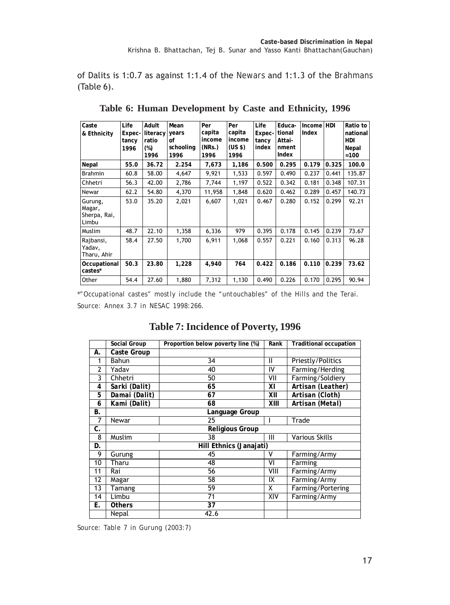of Dalits is 1:0.7 as against 1:1.4 of the *Newars* and 1:1.3 of the *Brahmans* (Table 6).

| Caste<br>& Ethnicity                       | Life<br>Expec-<br>tancy<br>1996 | Adult<br>literacy<br>ratio<br>$(\%)$<br>1996 | Mean<br>years<br>οf<br>schooling<br>1996 | Per<br>capita<br>income<br>(NRs.)<br>1996 | Per<br>capita<br>income<br>(US <sub>5</sub> )<br>1996 | Life<br>Expec-<br>tancy<br>index | Educa-<br>tional<br>Attai-<br>nment<br>Index | Income HDI<br>Index |       | Ratio to<br>national<br>HDI<br>Nepal<br>$=100$ |
|--------------------------------------------|---------------------------------|----------------------------------------------|------------------------------------------|-------------------------------------------|-------------------------------------------------------|----------------------------------|----------------------------------------------|---------------------|-------|------------------------------------------------|
| Nepal                                      | 55.0                            | 36.72                                        | 2.254                                    | 7,673                                     | 1,186                                                 | 0.500                            | 0.295                                        | 0.179               | 0.325 | 100.0                                          |
| <b>Brahmin</b>                             | 60.8                            | 58.00                                        | 4,647                                    | 9,921                                     | 1,533                                                 | 0.597                            | 0.490                                        | 0.237               | 0.441 | 135.87                                         |
| Chhetri                                    | 56.3                            | 42.00                                        | 2,786                                    | 7,744                                     | 1,197                                                 | 0.522                            | 0.342                                        | 0.181               | 0.348 | 107.31                                         |
| Newar                                      | 62.2                            | 54.80                                        | 4,370                                    | 11,958                                    | 1,848                                                 | 0.620                            | 0.462                                        | 0.289               | 0.457 | 140.73                                         |
| Gurung,<br>Magar,<br>Sherpa, Rai,<br>Limbu | 53.0                            | 35.20                                        | 2,021                                    | 6,607                                     | 1,021                                                 | 0.467                            | 0.280                                        | 0.152               | 0.299 | 92.21                                          |
| Muslim                                     | 48.7                            | 22.10                                        | 1,358                                    | 6,336                                     | 979                                                   | 0.395                            | 0.178                                        | 0.145               | 0.239 | 73.67                                          |
| Rajbansi,<br>Yadav,<br>Tharu, Ahir         | 58.4                            | 27.50                                        | 1,700                                    | 6,911                                     | 1,068                                                 | 0.557                            | 0.221                                        | 0.160               | 0.313 | 96.28                                          |
| Occupational<br>castes*                    | 50.3                            | 23.80                                        | 1,228                                    | 4,940                                     | 764                                                   | 0.422                            | 0.186                                        | 0.110               | 0.239 | 73.62                                          |
| Other                                      | 54.4                            | 27.60                                        | 1,880                                    | 7,312                                     | 1,130                                                 | 0.490                            | 0.226                                        | 0.170               | 0.295 | 90.94                                          |

**Table 6: Human Development by Caste and Ethnicity, 1996**

*\*"Occupational castes" mostly include the "untouchables" of the Hills and the Terai. Source: Annex 3.7 in NESAC 1998:266.*

#### Social Group Proportion below poverty line (%) Rank Traditional occupation **A. Caste Group**  1 Bahun | 34 | II Priestly/Politics 2 Yadav 10 40 IV Farming/Herding 3 Chhetri 50 VII Farming/Soldiery *4 Sarki (Dalit) 65 XI Artisan (Leather) 5 Damai (Dalit) 67 XII Artisan (Cloth) 6 Kami (Dalit) 68 XIII Artisan (Metal)*  **B.** Language Group 7 Newar 25 I Trade **C.** Religious Group 8 Muslim 38 III Various Skills **D. Hill Ethnics (Janajati)**  erming and the UV Farming Army and the UV Farming Army and the UV Farming Army and the UV Farming Army and the UV Farming Army and the UV Farming Army and the UV Farming Army and the UV Farming Army and the UV Farming Army 10 Tharming<br>
10 Tharming<br>
10 Tharming 11 Rai 56 VIII Farming/Army 12 Magar 12 Magar 12 Magar 12 Magar 13 Tamang 13 Tamang 13 Tamang 14 Tamang 159 159 Tamang 159 Tamang 159 Tamang 159 Tamang 159 Tamang 159 Tamang 159 Tamang 159 Tamang 159 Tamang 159 Tamang 159 Tamang 159 Tamang 159 Tamang 13 Tamang 13 Tamang 13 Tamang 13 Tamang 13 Tamang 12 Tamang 12 Tamang 13 Tamang 1 14 Limbu 11 71 XIV Farming/Army **E. Others 37**  Nepal and 42.6

## **Table 7: Incidence of Poverty, 1996**

*Source: Table 7 in Gurung (2003:7)*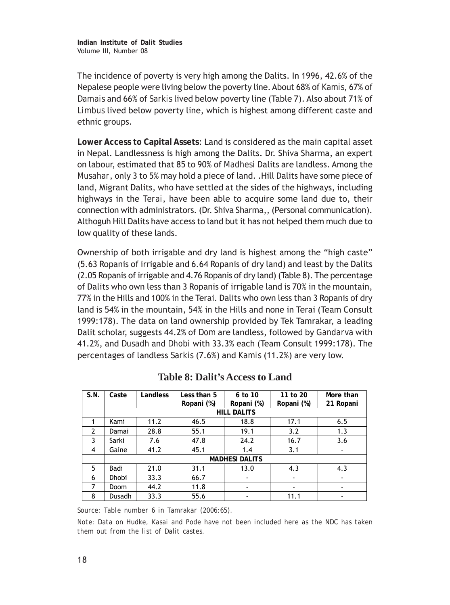The incidence of poverty is very high among the Dalits. In 1996, 42.6% of the Nepalese people were living below the poverty line. About 68% of *Kamis*, 67% of *Damais* and 66% of *Sarkis* lived below poverty line (Table 7). Also about 71% of *Limbus* lived below poverty line, which is highest among different caste and ethnic groups.

**Lower Access to Capital Assets**: Land is considered as the main capital asset in Nepal. Landlessness is high among the Dalits. Dr. Shiva Sharma, an expert on labour, estimated that 85 to 90% of *Madhesi* Dalits are landless. Among the *Musahar*, only 3 to 5% may hold a piece of land. .Hill Dalits have some piece of land, Migrant Dalits, who have settled at the sides of the highways, including highways in the *Terai*, have been able to acquire some land due to, their connection with administrators. (Dr. Shiva Sharma,, (Personal communication). Althoguh Hill Dalits have access to land but it has not helped them much due to low quality of these lands.

Ownership of both irrigable and dry land is highest among the "high caste" (5.63 Ropanis of irrigable and 6.64 Ropanis of dry land) and least by the Dalits (2.05 Ropanis of irrigable and 4.76 Ropanis of dry land) (Table 8). The percentage of Dalits who own less than 3 Ropanis of irrigable land is 70% in the mountain, 77% in the Hills and 100% in the Terai. Dalits who own less than 3 Ropanis of dry land is 54% in the mountain, 54% in the Hills and none in Terai (Team Consult 1999:178). The data on land ownership provided by Tek Tamrakar, a leading Dalit scholar, suggests 44.2% of *Dom* are landless, followed by *Gandarva* with 41.2%, and *Dusadh* and *Dhobi* with 33.3% each (Team Consult 1999:178). The percentages of landless *Sarkis* (7.6%) and *Kamis* (11.2%) are very low.

| S.N.           | Caste        | Landless | Less than 5<br>Ropani (%) | 6 to 10<br>Ropani (%) | 11 to 20<br>Ropani (%) | More than<br>21 Ropani   |
|----------------|--------------|----------|---------------------------|-----------------------|------------------------|--------------------------|
|                |              |          |                           | <b>HILL DALITS</b>    |                        |                          |
| 1              | Kami         | 11.2     | 46.5                      | 18.8                  | 17.1                   | 6.5                      |
| $\overline{2}$ | Damai        | 28.8     | 55.1                      | 19.1                  | 3.2                    | 1.3                      |
| 3              | Sarki        | 7.6      | 47.8                      | 24.2                  | 16.7                   | 3.6                      |
| 4              | Gaine        | 41.2     | 45.1                      | 1.4                   | 3.1                    | $\overline{\phantom{a}}$ |
|                |              |          |                           | <b>MADHESI DALITS</b> |                        |                          |
| 5              | Badi         | 21.0     | 31.1                      | 13.0                  | 4.3                    | 4.3                      |
| 6              | <b>Dhobi</b> | 33.3     | 66.7                      | ٠                     | ۰                      | $\overline{\phantom{a}}$ |
| 7              | Doom         | 44.2     | 11.8                      | ٠                     | ٠                      | ٠                        |
| 8              | Dusadh       | 33.3     | 55.6                      | ۰                     | 11.1                   | ٠                        |

**Table 8: Dalit's Access to Land**

*Source: Table number 6 in Tamrakar (2006:65).*

*Note: Data on Hudke, Kasai and Pode have not been included here as the NDC has taken them out from the list of Dalit castes.*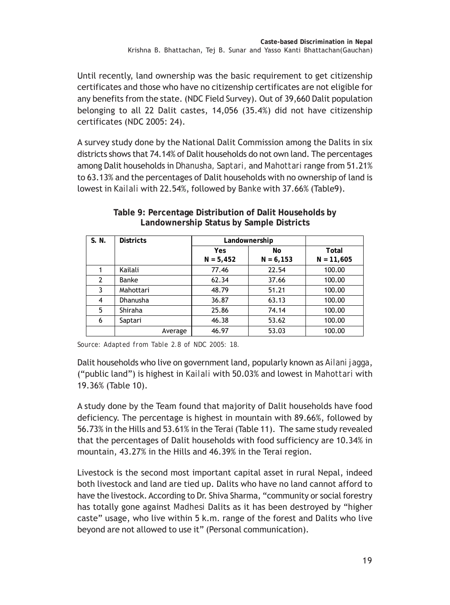Until recently, land ownership was the basic requirement to get citizenship certificates and those who have no citizenship certificates are not eligible for any benefits from the state. (NDC Field Survey). Out of 39,660 Dalit population belonging to all 22 Dalit castes, 14,056 (35.4%) did not have citizenship certificates (NDC 2005: 24).

A survey study done by the National Dalit Commission among the Dalits in six districts shows that 74.14% of Dalit households do not own land. The percentages among Dalit households in *Dhanusha, Saptari,* and *Mahottari* range from 51.21% to 63.13% and the percentages of Dalit households with no ownership of land is lowest in *Kailali* with 22.54%, followed by *Banke* with 37.66% (Table9).

| S. N.          | <b>Districts</b> | Landownership |             |              |
|----------------|------------------|---------------|-------------|--------------|
|                |                  | Yes           | No          | Total        |
|                |                  | $N = 5,452$   | $N = 6,153$ | $N = 11,605$ |
|                | Kailali          | 77.46         | 22.54       | 100.00       |
| $\overline{2}$ | Banke            | 62.34         | 37.66       | 100.00       |
| 3              | Mahottari        | 48.79         | 51.21       | 100.00       |
| $\overline{4}$ | <b>Dhanusha</b>  | 36.87         | 63.13       | 100.00       |
| 5              | Shiraha          | 25.86         | 74.14       | 100.00       |
| 6              | Saptari          | 46.38         | 53.62       | 100.00       |
|                | Average          | 46.97         | 53.03       | 100.00       |

**Table 9: Percentage Distribution of Dalit Households by Landownership Status by Sample Districts**

*Source: Adapted from Table 2.8 of NDC 2005: 18.*

Dalit households who live on government land, popularly known as *Ailani jagga*, ("public land") is highest in *Kailali* with 50.03% and lowest in *Mahottari* with 19.36% (Table 10).

A study done by the Team found that majority of Dalit households have food deficiency. The percentage is highest in mountain with 89.66%, followed by 56.73% in the Hills and 53.61% in the Terai (Table 11). The same study revealed that the percentages of Dalit households with food sufficiency are 10.34% in mountain, 43.27% in the Hills and 46.39% in the Terai region.

Livestock is the second most important capital asset in rural Nepal, indeed both livestock and land are tied up. Dalits who have no land cannot afford to have the livestock. According to Dr. Shiva Sharma, "community or social forestry has totally gone against *Madhesi* Dalits as it has been destroyed by "higher caste" usage, who live within 5 k.m. range of the forest and Dalits who live beyond are not allowed to use it" (Personal communication).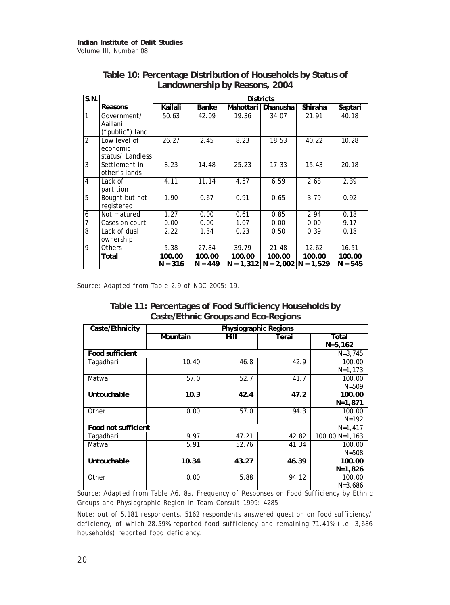| S.N.           |                                              | <b>Districts</b>    |                     |           |                                                   |         |                     |  |  |  |
|----------------|----------------------------------------------|---------------------|---------------------|-----------|---------------------------------------------------|---------|---------------------|--|--|--|
|                | Reasons                                      | Kailali             | Banke               | Mahottari | Dhanusha                                          | Shiraha | Saptari             |  |  |  |
| 1              | Government/<br>Aailani<br>("public") land    | 50.63               | 42.09               | 19.36     | 34.07                                             | 21.91   | 40.18               |  |  |  |
| $\overline{2}$ | Low level of<br>economic<br>status/ Landless | 26.27               | 2.45                | 8.23      | 18.53                                             | 40.22   | 10.28               |  |  |  |
| 3              | Settlement in<br>other's lands               | 8.23                | 14.48               | 25.23     | $\overline{17.33}$                                | 15.43   | 20.18               |  |  |  |
| 4              | Lack of<br>partition                         | 4.11                | 11.14               | 4.57      | 6.59                                              | 2.68    | 2.39                |  |  |  |
| 5              | Bought but not<br>registered                 | 1.90                | 0.67                | 0.91      | 0.65                                              | 3.79    | 0.92                |  |  |  |
| 6              | Not matured                                  | 1.27                | 0.00                | 0.61      | 0.85                                              | 2.94    | 0.18                |  |  |  |
| 7              | Cases on court                               | 0.00                | 0.00                | 1.07      | 0.00                                              | 0.00    | 9.17                |  |  |  |
| 8              | Lack of dual<br>ownership                    | 2.22                | 1.34                | 0.23      | 0.50                                              | 0.39    | 0.18                |  |  |  |
| 9              | <b>Others</b>                                | 5.38                | 27.84               | 39.79     | 21.48                                             | 12.62   | 16.51               |  |  |  |
|                | Total                                        | 100.00<br>$N = 316$ | 100.00<br>$N = 449$ | 100.00    | 100.00<br>$N = 1,312$   $N = 2,002$   $N = 1,529$ | 100.00  | 100.00<br>$N = 545$ |  |  |  |

## **Table 10: Percentage Distribution of Households by Status of Landownership by Reasons, 2004**

*Source: Adapted from Table 2.9 of NDC 2005: 19.*

|                                     | Table 11: Percentages of Food Sufficiency Households by |  |
|-------------------------------------|---------------------------------------------------------|--|
| Caste/Ethnic Groups and Eco-Regions |                                                         |  |

| Caste/Ethnicity        | Physiographic Regions |       |       |                |  |  |  |  |
|------------------------|-----------------------|-------|-------|----------------|--|--|--|--|
|                        | Mountain              | Hill  | Terai | Total          |  |  |  |  |
|                        |                       |       |       | $N = 5, 162$   |  |  |  |  |
| <b>Food sufficient</b> |                       |       |       | $N = 3,745$    |  |  |  |  |
| Tagadhari              | 10.40                 | 46.8  | 42.9  | 100.00         |  |  |  |  |
|                        |                       |       |       | $N=1,173$      |  |  |  |  |
| Matwali                | 57.0                  | 52.7  | 41.7  | 100.00         |  |  |  |  |
|                        |                       |       |       | $N = 509$      |  |  |  |  |
| Untouchable            | 10.3                  | 42.4  | 47.2  | 100.00         |  |  |  |  |
|                        |                       |       |       | $N = 1,871$    |  |  |  |  |
| Other                  | 0.00                  | 57.0  | 94.3  | 100.00         |  |  |  |  |
|                        |                       |       |       | $N = 192$      |  |  |  |  |
| Food not sufficient    |                       |       |       | $N=1,417$      |  |  |  |  |
| Tagadhari              | 9.97                  | 47.21 | 42.82 | 100.00 N=1.163 |  |  |  |  |
| Matwali                | 5.91                  | 52.76 | 41.34 | 100.00         |  |  |  |  |
|                        |                       |       |       | $N = 508$      |  |  |  |  |
| Untouchable            | 10.34                 | 43.27 | 46.39 | 100.00         |  |  |  |  |
|                        |                       |       |       | $N=1,826$      |  |  |  |  |
| Other                  | 0.00                  | 5.88  | 94.12 | 100.00         |  |  |  |  |
|                        |                       |       |       | $N = 3,686$    |  |  |  |  |

*Source: Adapted from Table A6. 8a. Frequency of Responses on Food Sufficiency by Ethnic Groups and Physiographic Region in Team Consult 1999: 4285*

*Note: out of 5,181 respondents, 5162 respondents answered question on food sufficiency/ deficiency, of which 28.59% reported food sufficiency and remaining 71.41% (i.e. 3,686 households) reported food deficiency.*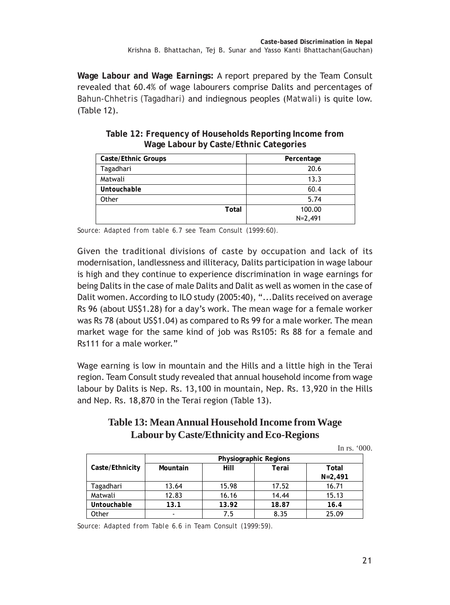**Wage Labour and Wage Earnings:** A report prepared by the Team Consult revealed that 60.4% of wage labourers comprise Dalits and percentages of *Bahun-Chhetris (Tagadhari)* and indiegnous peoples (*Matwali*) is quite low. (Table 12).

| Caste/Ethnic Groups | Percentage  |
|---------------------|-------------|
| Tagadhari           | 20.6        |
| Matwali             | 13.3        |
| Untouchable         | 60.4        |
| Other               | 5.74        |
| Total               | 100.00      |
|                     | $N = 2,491$ |

**Table 12: Frequency of Households Reporting Income from Wage Labour by Caste/Ethnic Categories**

*Source: Adapted from table 6.7 see Team Consult (1999:60).*

Given the traditional divisions of caste by occupation and lack of its modernisation, landlessness and illiteracy, Dalits participation in wage labour is high and they continue to experience discrimination in wage earnings for being Dalits in the case of male Dalits and Dalit as well as women in the case of Dalit women. According to ILO study (2005:40), "...Dalits received on average Rs 96 (about US\$1.28) for a day's work. The mean wage for a female worker was Rs 78 (about US\$1.04) as compared to Rs 99 for a male worker. The mean market wage for the same kind of job was Rs105: Rs 88 for a female and Rs111 for a male worker."

Wage earning is low in mountain and the Hills and a little high in the Terai region. Team Consult study revealed that annual household income from wage labour by Dalits is Nep. Rs. 13,100 in mountain, Nep. Rs. 13,920 in the Hills and Nep. Rs. 18,870 in the Terai region (Table 13).

## **Table 13: Mean Annual Household Income from Wage Labour by Caste/Ethnicity and Eco-Regions**

|                 |          |                       |       | In rs. $000$ .       |
|-----------------|----------|-----------------------|-------|----------------------|
|                 |          | Physiographic Regions |       |                      |
| Caste/Ethnicity | Mountain | Hill                  | Terai | Total<br>$N = 2,491$ |
| Tagadhari       | 13.64    | 15.98                 | 17.52 | 16.71                |
| Matwali         | 12.83    | 16.16                 | 14.44 | 15.13                |
| Untouchable     | 13.1     | 13.92                 | 18.87 | 16.4                 |
| Other           |          | 7.5                   | 8.35  | 25.09                |

*Source: Adapted from Table 6.6 in Team Consult (1999:59).*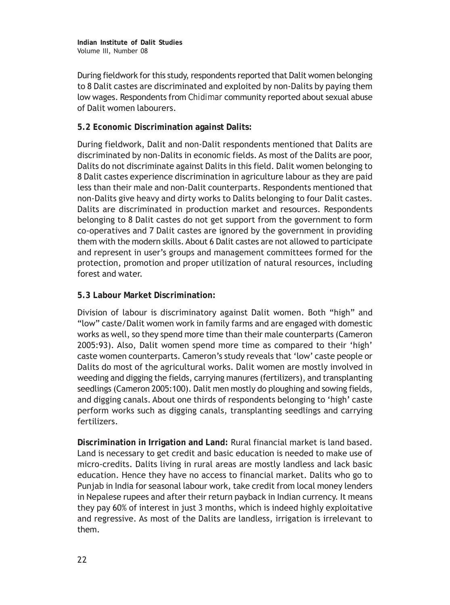During fieldwork for this study, respondents reported that Dalit women belonging to 8 Dalit castes are discriminated and exploited by non-Dalits by paying them low wages. Respondents from *Chidimar* community reported about sexual abuse of Dalit women labourers.

## **5.2 Economic Discrimination against Dalits:**

During fieldwork, Dalit and non-Dalit respondents mentioned that Dalits are discriminated by non-Dalits in economic fields. As most of the Dalits are poor, Dalits do not discriminate against Dalits in this field. Dalit women belonging to 8 Dalit castes experience discrimination in agriculture labour as they are paid less than their male and non-Dalit counterparts. Respondents mentioned that non-Dalits give heavy and dirty works to Dalits belonging to four Dalit castes. Dalits are discriminated in production market and resources. Respondents belonging to 8 Dalit castes do not get support from the government to form co-operatives and 7 Dalit castes are ignored by the government in providing them with the modern skills. About 6 Dalit castes are not allowed to participate and represent in user's groups and management committees formed for the protection, promotion and proper utilization of natural resources, including forest and water.

## **5.3 Labour Market Discrimination:**

Division of labour is discriminatory against Dalit women. Both "high" and "low" caste/Dalit women work in family farms and are engaged with domestic works as well, so they spend more time than their male counterparts (Cameron 2005:93). Also, Dalit women spend more time as compared to their 'high' caste women counterparts. Cameron's study reveals that 'low' caste people or Dalits do most of the agricultural works. Dalit women are mostly involved in weeding and digging the fields, carrying manures (fertilizers), and transplanting seedlings (Cameron 2005:100). Dalit men mostly do ploughing and sowing fields, and digging canals. About one thirds of respondents belonging to 'high' caste perform works such as digging canals, transplanting seedlings and carrying fertilizers.

**Discrimination in Irrigation and Land:** Rural financial market is land based. Land is necessary to get credit and basic education is needed to make use of micro-credits. Dalits living in rural areas are mostly landless and lack basic education. Hence they have no access to financial market. Dalits who go to Punjab in India for seasonal labour work, take credit from local money lenders in Nepalese rupees and after their return payback in Indian currency. It means they pay 60% of interest in just 3 months, which is indeed highly exploitative and regressive. As most of the Dalits are landless, irrigation is irrelevant to them.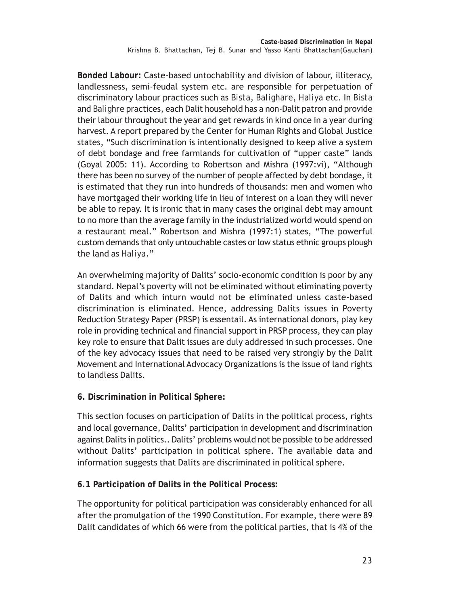**Bonded Labour:** Caste-based untochability and division of labour, illiteracy, landlessness, semi-feudal system etc. are responsible for perpetuation of discriminatory labour practices such as *Bista*, *Balighare*, *Haliya* etc. In *Bista* and *Balighre* practices, each Dalit household has a non-Dalit patron and provide their labour throughout the year and get rewards in kind once in a year during harvest. A report prepared by the Center for Human Rights and Global Justice states, "Such discrimination is intentionally designed to keep alive a system of debt bondage and free farmlands for cultivation of "upper caste" lands (Goyal 2005: 11). According to Robertson and Mishra (1997:vi), "Although there has been no survey of the number of people affected by debt bondage, it is estimated that they run into hundreds of thousands: men and women who have mortgaged their working life in lieu of interest on a loan they will never be able to repay. It is ironic that in many cases the original debt may amount to no more than the average family in the industrialized world would spend on a restaurant meal." Robertson and Mishra (1997:1) states, "The powerful custom demands that only untouchable castes or low status ethnic groups plough the land as *Haliya*."

An overwhelming majority of Dalits' socio-economic condition is poor by any standard. Nepal's poverty will not be eliminated without eliminating poverty of Dalits and which inturn would not be eliminated unless caste-based discrimination is eliminated. Hence, addressing Dalits issues in Poverty Reduction Strategy Paper (PRSP) is essentail. As international donors, play key role in providing technical and financial support in PRSP process, they can play key role to ensure that Dalit issues are duly addressed in such processes. One of the key advocacy issues that need to be raised very strongly by the Dalit Movement and International Advocacy Organizations is the issue of land rights to landless Dalits.

**6. Discrimination in Political Sphere:**

This section focuses on participation of Dalits in the political process, rights and local governance, Dalits' participation in development and discrimination against Dalits in politics.. Dalits' problems would not be possible to be addressed without Dalits' participation in political sphere. The available data and information suggests that Dalits are discriminated in political sphere.

**6.1 Participation of Dalits in the Political Process:**

The opportunity for political participation was considerably enhanced for all after the promulgation of the 1990 Constitution. For example, there were 89 Dalit candidates of which 66 were from the political parties, that is 4% of the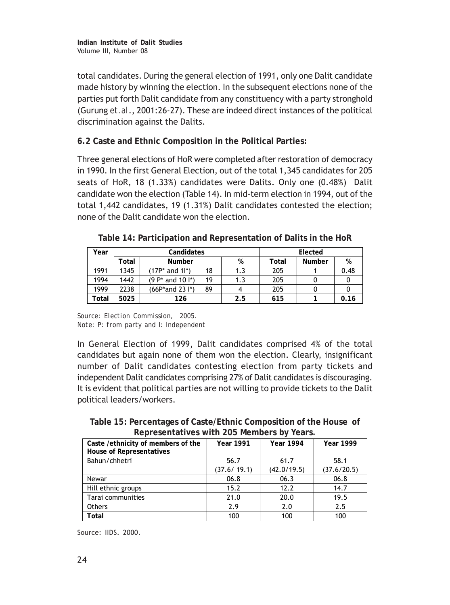total candidates. During the general election of 1991, only one Dalit candidate made history by winning the election. In the subsequent elections none of the parties put forth Dalit candidate from any constituency with a party stronghold (Gurung *et.al*., 2001:26-27). These are indeed direct instances of the political discrimination against the Dalits.

**6.2 Caste and Ethnic Composition in the Political Parties***:*

Three general elections of HoR were completed after restoration of democracy in 1990. In the first General Election, out of the total 1,345 candidates for 205 seats of HoR, 18 (1.33%) candidates were Dalits. Only one (0.48%) Dalit candidate won the election (Table 14). In mid-term election in 1994, out of the total 1,442 candidates, 19 (1.31%) Dalit candidates contested the election; none of the Dalit candidate won the election.

| Year  |       | Candidates                       | Elected |     |       |               |      |
|-------|-------|----------------------------------|---------|-----|-------|---------------|------|
|       | Total | <b>Number</b>                    |         | %   | Total | <b>Number</b> | %    |
| 1991  | 1345  | $(17P^*$ and $11^*)$             | 18      | 1.3 | 205   |               | 0.48 |
| 1994  | 1442  | $(9 P* and 10 I*)$               | 19      | 1.3 | 205   |               |      |
| 1999  | 2238  | $(66P^*$ and 23 I <sup>*</sup> ) | 89      |     | 205   |               |      |
| Total | 5025  | 126                              |         | 2.5 | 615   |               | 0.16 |

**Table 14: Participation and Representation of Dalits in the HoR**

*Source: Election Commission, 2005. Note: P: from party and I: Independent*

In General Election of 1999, Dalit candidates comprised 4% of the total candidates but again none of them won the election. Clearly, insignificant number of Dalit candidates contesting election from party tickets and independent Dalit candidates comprising 27% of Dalit candidates is discouraging. It is evident that political parties are not willing to provide tickets to the Dalit political leaders/workers.

**Table 15: Percentages of Caste/Ethnic Composition of the House of Representatives with 205 Members by Years.**

| Caste / ethnicity of members of the<br><b>House of Representatives</b> | <b>Year 1991</b> | <b>Year 1994</b> | <b>Year 1999</b> |
|------------------------------------------------------------------------|------------------|------------------|------------------|
| Bahun/chhetri                                                          | 56.7             | 61.7             | 58.1             |
|                                                                        | (37.6/19.1)      | (42.0/19.5)      | (37.6/20.5)      |
| Newar                                                                  | 06.8             | 06.3             | 06.8             |
| Hill ethnic groups                                                     | 15.2             | 12.2             | 14.7             |
| Tarai communities                                                      | 21.0             | 20.0             | 19.5             |
| <b>Others</b>                                                          | 2.9              | 2.0              | 2.5              |
| Total                                                                  | 100              | 100              | 100              |

Source: IIDS. 2000.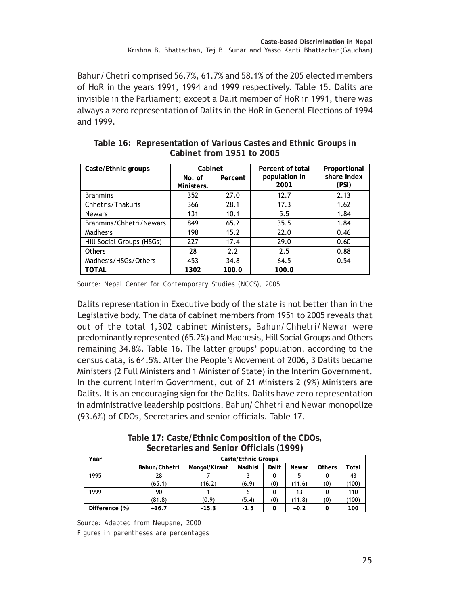*Bahun/Chetri* comprised 56.7%, 61.7% and 58.1% of the 205 elected members of HoR in the years 1991, 1994 and 1999 respectively. Table 15. Dalits are invisible in the Parliament; except a Dalit member of HoR in 1991, there was always a zero representation of Dalits in the HoR in General Elections of 1994 and 1999.

| Caste/Ethnic groups       | Cabinet              |         | Percent of total      | Proportional         |
|---------------------------|----------------------|---------|-----------------------|----------------------|
|                           | No. of<br>Ministers. | Percent | population in<br>2001 | share Index<br>(PSI) |
| <b>Brahmins</b>           | 352                  | 27.0    | 12.7                  | 2.13                 |
| Chhetris/Thakuris         | 366                  | 28.1    | 17.3                  | 1.62                 |
| <b>Newars</b>             | 131                  | 10.1    | 5.5                   | 1.84                 |
| Brahmins/Chhetri/Newars   | 849                  | 65.2    | 35.5                  | 1.84                 |
| Madhesis                  | 198                  | 15.2    | 22.0                  | 0.46                 |
| Hill Social Groups (HSGs) | 227                  | 17.4    | 29.0                  | 0.60                 |
| <b>Others</b>             | 28                   | 2.2     | 2.5                   | 0.88                 |
| Madhesis/HSGs/Others      | 453                  | 34.8    | 64.5                  | 0.54                 |
| <b>TOTAL</b>              | 1302                 | 100.0   | 100.0                 |                      |

**Table 16: Representation of Various Castes and Ethnic Groups in Cabinet from 1951 to 2005**

Dalits representation in Executive body of the state is not better than in the Legislative body. The data of cabinet members from 1951 to 2005 reveals that out of the total 1,302 cabinet Ministers, *Bahun/Chhetri/Newar* were predominantly represented (65.2%) and *Madhesis*, Hill Social Groups and Others remaining 34.8%. Table 16. The latter groups' population, according to the census data, is 64.5%. After the People's Movement of 2006, 3 Dalits became Ministers (2 Full Ministers and 1 Minister of State) in the Interim Government. In the current Interim Government, out of 21 Ministers 2 (9%) Ministers are Dalits. It is an encouraging sign for the Dalits. Dalits have zero representation in administrative leadership positions. *Bahun/Chhetri* and *Newar* monopolize (93.6%) of CDOs, Secretaries and senior officials. Table 17.

**Table 17: Caste/Ethnic Composition of the CDOs, Secretaries and Senior Officials (1999)**

| Year           | Caste/Ethnic Groups |               |         |       |        |               |       |  |
|----------------|---------------------|---------------|---------|-------|--------|---------------|-------|--|
|                | Bahun/Chhetri       | Mongol/Kirant | Madhisi | Dalit | Newar  | <b>Others</b> | Total |  |
| 1995           | 28                  |               |         | 0     |        |               | 43    |  |
|                | (65.1)              | (16.2)        | (6.9)   | (0)   | (11.6) | (0)           | (100) |  |
| 1999           | 90                  |               |         | 0     | 13     |               | 110   |  |
|                | (81.8)              | (0.9)         | (5.4)   | (0)   | (11.8) | (0)           | (100) |  |
| Difference (%) | $+16.7$             | $-15.3$       | $-1.5$  | 0     | $+0.2$ |               | 100   |  |

*Source: Adapted from Neupane, 2000 Figures in parentheses are percentages*

*Source: Nepal Center for Contemporary Studies (NCCS), 2005*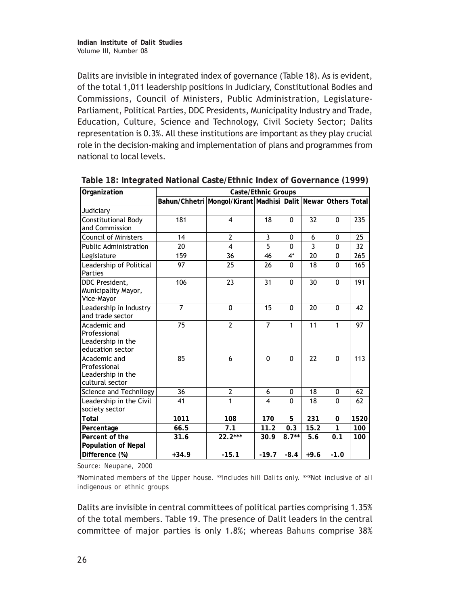Dalits are invisible in integrated index of governance (Table 18). As is evident, of the total 1,011 leadership positions in Judiciary, Constitutional Bodies and Commissions, Council of Ministers, Public Administration, Legislature-Parliament, Political Parties, DDC Presidents, Municipality Industry and Trade, Education, Culture, Science and Technology, Civil Society Sector; Dalits representation is 0.3%. All these institutions are important as they play crucial role in the decision-making and implementation of plans and programmes from national to local levels.

| Organization                                                          | Caste/Ethnic Groups |                                                              |                |              |        |              |      |  |
|-----------------------------------------------------------------------|---------------------|--------------------------------------------------------------|----------------|--------------|--------|--------------|------|--|
|                                                                       |                     | Bahun/Chhetri Mongol/Kirant Madhisi Dalit Newar Others Total |                |              |        |              |      |  |
| Judiciary                                                             |                     |                                                              |                |              |        |              |      |  |
| <b>Constitutional Body</b><br>and Commission                          | 181                 | 4                                                            | 18             | $\mathbf{0}$ | 32     | $\mathbf{0}$ | 235  |  |
| <b>Council of Ministers</b>                                           | 14                  | $\overline{2}$                                               | 3              | $\mathbf{0}$ | 6      | $\mathbf{0}$ | 25   |  |
| Public Administration                                                 | 20                  | 4                                                            | 5              | $\Omega$     | 3      | $\Omega$     | 32   |  |
| Legislature                                                           | 159                 | 36                                                           | 46             | 4*           | 20     | 0            | 265  |  |
| Leadership of Political<br>Parties                                    | 97                  | 25                                                           | 26             | $\Omega$     | 18     | $\Omega$     | 165  |  |
| DDC President.<br>Municipality Mayor,<br>Vice-Mayor                   | 106                 | 23                                                           | 31             | $\mathbf{0}$ | 30     | $\mathbf{0}$ | 191  |  |
| Leadership in Industry<br>and trade sector                            | $\overline{7}$      | $\mathbf{0}$                                                 | 15             | $\Omega$     | 20     | $\Omega$     | 42   |  |
| Academic and<br>Professional<br>Leadership in the<br>education sector | 75                  | $\overline{2}$                                               | $\overline{7}$ | 1            | 11     | 1            | 97   |  |
| Academic and<br>Professional<br>Leadership in the<br>cultural sector  | 85                  | 6                                                            | $\Omega$       | $\Omega$     | 22     | $\Omega$     | 113  |  |
| Science and Technilogy                                                | 36                  | $\overline{2}$                                               | 6              | $\mathbf{0}$ | 18     | $\mathbf{0}$ | 62   |  |
| Leadership in the Civil<br>society sector                             | 41                  | $\mathbf{1}$                                                 | 4              | $\Omega$     | 18     | $\Omega$     | 62   |  |
| Total                                                                 | 1011                | 108                                                          | 170            | 5            | 231    | 0            | 1520 |  |
| Percentage                                                            | 66.5                | 7.1                                                          | 11.2           | 0.3          | 15.2   | 1            | 100  |  |
| Percent of the<br>Population of Nepal                                 | 31.6                | $22.2***$                                                    | 30.9           | $8.7**$      | 5.6    | 0.1          | 100  |  |
| Difference (%)                                                        | $+34.9$             | $-15.1$                                                      | $-19.7$        | $-8.4$       | $+9.6$ | $-1.0$       |      |  |

**Table 18: Integrated National Caste/Ethnic Index of Governance (1999)**

*Source: Neupane, 2000*

*\*Nominated members of the Upper house. \*\*Includes hill Dalits only. \*\*\*Not inclusive of all indigenous or ethnic groups*

Dalits are invisible in central committees of political parties comprising 1.35% of the total members. Table 19. The presence of Dalit leaders in the central committee of major parties is only 1.8%; whereas *Bahuns* comprise 38%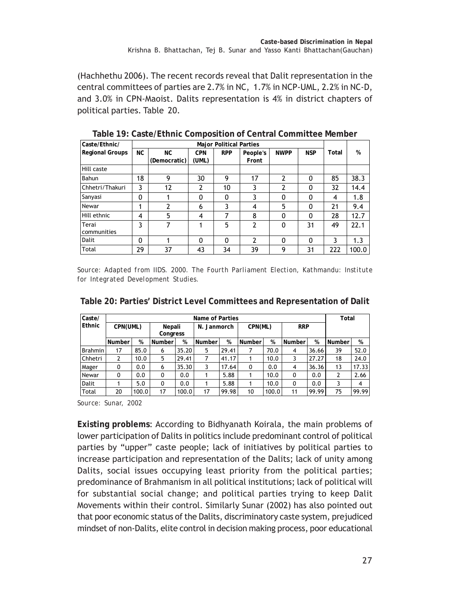(Hachhethu 2006). The recent records reveal that Dalit representation in the central committees of parties are 2.7% in NC, 1.7% in NCP-UML, 2.2% in NC-D, and 3.0% in CPN-Maoist. Dalits representation is 4% in district chapters of political parties. Table 20.

| Caste/Ethnic/          | <b>Major Political Parties</b> |              |            |            |          |                          |            |       |       |
|------------------------|--------------------------------|--------------|------------|------------|----------|--------------------------|------------|-------|-------|
| <b>Regional Groups</b> | <b>NC</b>                      | NC.          | <b>CPN</b> | <b>RPP</b> | People's | <b>NWPP</b>              | <b>NSP</b> | Total | %     |
|                        |                                | (Democratic) | (UML)      |            | Front    |                          |            |       |       |
| Hill caste             |                                |              |            |            |          |                          |            |       |       |
| Bahun                  | 18                             | 9            | 30         | 9          | 17       | $\overline{\phantom{a}}$ | $\Omega$   | 85    | 38.3  |
| Chhetri/Thakuri        | 3                              | 12           | 2          | 10         | 3        | 2                        | $\Omega$   | 32    | 14.4  |
| Sanyasi                | 0                              |              | 0          | 0          | 3        | 0                        | $\Omega$   | 4     | 1.8   |
| Newar                  | и                              | 2            | 6          | 3          | 4        | 5                        | $\Omega$   | 21    | 9.4   |
| Hill ethnic            | 4                              | 5            | 4          |            | 8        | 0                        | $\Omega$   | 28    | 12.7  |
| Terai<br>communities   | 3                              |              |            | 5          | 2        | $\mathbf{0}$             | 31         | 49    | 22.1  |
| Dalit                  | 0                              |              | 0          | $\Omega$   | 2        | $\Omega$                 | $\Omega$   | 3     | 1.3   |
| <b>Total</b>           | 29                             | 37           | 43         | 34         | 39       | 9                        | 31         | 222   | 100.0 |

**Table 19: Caste/Ethnic Composition of Central Committee Member**

*Source: Adapted from IIDS. 2000. The Fourth Parliament Election, Kathmandu: Institute for Integrated Development Studies.*

| Caste/         | Name of Parties |       |                    |       |             |       |               |       |                |       | Total  |       |
|----------------|-----------------|-------|--------------------|-------|-------------|-------|---------------|-------|----------------|-------|--------|-------|
| Ethnic         | CPN(UML)        |       | Nepali<br>Congress |       | N. Janmorch |       | CPN(ML)       |       | <b>RRP</b>     |       |        |       |
|                | Number          | %     | Number             | %     | Number      | %     | <b>Number</b> | %     | Number         | %     | Number | %     |
| <b>Brahmin</b> | 17              | 85.0  | 6                  | 35.20 | 5           | 29.41 | 7             | 70.0  | $\overline{4}$ | 36.66 | 39     | 52.0  |
| Chhetri        | 2               | 10.0  | 5                  | 29.41 |             | 41.17 |               | 10.0  | 3              | 27.27 | 18     | 24.0  |
| Mager          | 0               | 0.0   | 6                  | 35.30 | 3           | 17.64 | 0             | 0.0   | $\overline{4}$ | 36.36 | 13     | 17.33 |
| Newar          | 0               | 0.0   | 0                  | 0.0   |             | 5.88  |               | 10.0  | 0              | 0.0   | 2      | 2.66  |
| <b>Dalit</b>   |                 | 5.0   | 0                  | 0.0   |             | 5.88  | 1             | 10.0  | $\Omega$       | 0.0   | 3      | 4     |
| Total          | 20              | 100.0 | 17                 | 100.0 | 17          | 99.98 | 10            | 100.0 | 11             | 99.99 | 75     | 99.99 |

*Source: Sunar, 2002*

**Existing problems**: According to Bidhyanath Koirala, the main problems of lower participation of Dalits in politics include predominant control of political parties by "upper" caste people; lack of initiatives by political parties to increase participation and representation of the Dalits; lack of unity among Dalits, social issues occupying least priority from the political parties; predominance of Brahmanism in all political institutions; lack of political will for substantial social change; and political parties trying to keep Dalit Movements within their control. Similarly Sunar (2002) has also pointed out that poor economic status of the Dalits, discriminatory caste system, prejudiced mindset of non-Dalits, elite control in decision making process, poor educational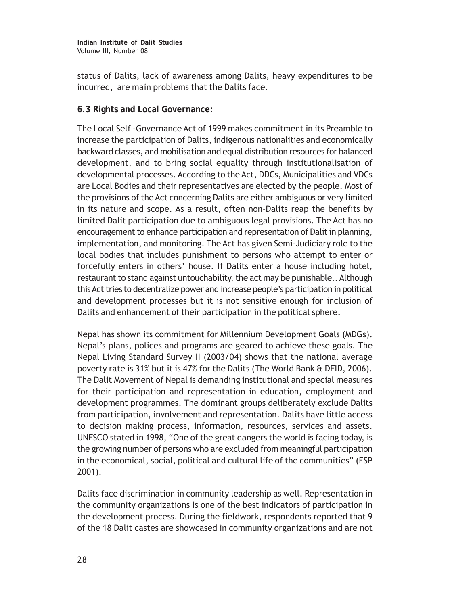status of Dalits, lack of awareness among Dalits, heavy expenditures to be incurred, are main problems that the Dalits face.

## **6.3 Rights and Local Governance:**

The Local Self -Governance Act of 1999 makes commitment in its Preamble to increase the participation of Dalits, indigenous nationalities and economically backward classes, and mobilisation and equal distribution resources for balanced development, and to bring social equality through institutionalisation of developmental processes. According to the Act, DDCs, Municipalities and VDCs are Local Bodies and their representatives are elected by the people. Most of the provisions of the Act concerning Dalits are either ambiguous or very limited in its nature and scope. As a result, often non-Dalits reap the benefits by limited Dalit participation due to ambiguous legal provisions. The Act has no encouragement to enhance participation and representation of Dalit in planning, implementation, and monitoring. The Act has given Semi-Judiciary role to the local bodies that includes punishment to persons who attempt to enter or forcefully enters in others' house. If Dalits enter a house including hotel, restaurant to stand against untouchability, the act may be punishable.. Although this Act tries to decentralize power and increase people's participation in political and development processes but it is not sensitive enough for inclusion of Dalits and enhancement of their participation in the political sphere.

Nepal has shown its commitment for Millennium Development Goals (MDGs). Nepal's plans, polices and programs are geared to achieve these goals. The Nepal Living Standard Survey II (2003/04) shows that the national average poverty rate is 31% but it is 47% for the Dalits (The World Bank & DFID, 2006). The Dalit Movement of Nepal is demanding institutional and special measures for their participation and representation in education, employment and development programmes. The dominant groups deliberately exclude Dalits from participation, involvement and representation. Dalits have little access to decision making process, information, resources, services and assets. UNESCO stated in 1998, "One of the great dangers the world is facing today, is the growing number of persons who are excluded from meaningful participation in the economical, social, political and cultural life of the communities" (ESP 2001).

Dalits face discrimination in community leadership as well. Representation in the community organizations is one of the best indicators of participation in the development process. During the fieldwork, respondents reported that 9 of the 18 Dalit castes are showcased in community organizations and are not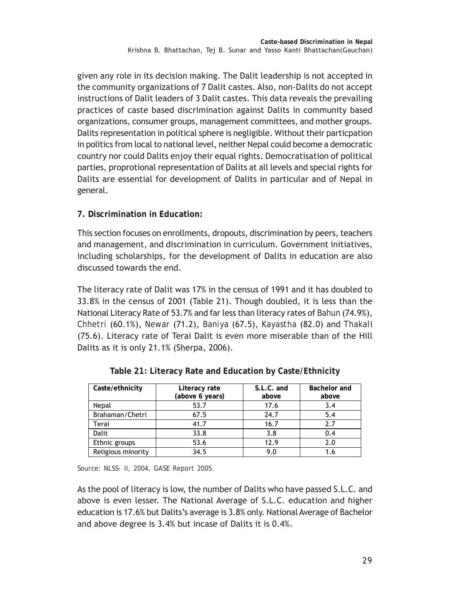given any role in its decision making. The Dalit leadership is not accepted in the community organizations of 7 Dalit castes. Also, non-Dalits do not accept instructions of Dalit leaders of 3 Dalit castes. This data reveals the prevailing practices of caste based discrimination against Dalits in community based organizations, consumer groups, management committees, and mother groups. Dalits representation in political sphere is negligible. Without their particpation in politics from local to national level, neither Nepal could become a democratic country nor could Dalits enjoy their equal rights. Democratisation of political parties, proprotional representation of Dalits at all levels and special rights for Dalits are essential for development of Dalits in particular and of Nepal in general.

## **7. Discrimination in Education:**

This section focuses on enrollments, dropouts, discrimination by peers, teachers and management, and discrimination in curriculum. Government initiatives, including scholarships, for the development of Dalits in education are also discussed towards the end.

The literacy rate of Dalit was 17% in the census of 1991 and it has doubled to 33.8% in the census of 2001 (Table 21). Though doubled, it is less than the National Literacy Rate of 53.7% and far less than literacy rates of *Bahun* (74.9%), *Chhetri* (60.1%), *Newar* (71.2), *Baniya* (67.5), *Kayastha* (82.0) and *Thakal*i (75.6). Literacy rate of Terai Dalit is even more miserable than of the Hill Dalits as it is only 21.1% (Sherpa, 2006).

| Caste/ethnicity    | Literacy rate<br>(above 6 years) | S.L.C. and<br>above | Bachelor and<br>above |
|--------------------|----------------------------------|---------------------|-----------------------|
| Nepal              | 53.7                             | 17.6                | 3.4                   |
| Brahaman/Chetri    | 67.5                             | 24.7                | 5.4                   |
| Terai              | 41.7                             | 16.7                | 2.7                   |
| <b>Dalit</b>       | 33.8                             | 3.8                 | 0.4                   |
| Ethnic groups      | 53.6                             | 12.9                | 2.0                   |
| Religious minority | 34.5                             | 9.0                 |                       |

**Table 21: Literacy Rate and Education by Caste/Ethnicity**

*Source: NLSS- II, 2004, GASE Report 2005.*

As the pool of literacy is low, the number of Dalits who have passed S.L.C. and above is even lesser. The National Average of S.L.C. education and higher education is 17.6% but Dalits's average is 3.8% only. National Average of Bachelor and above degree is 3.4% but incase of Dalits it is 0.4%.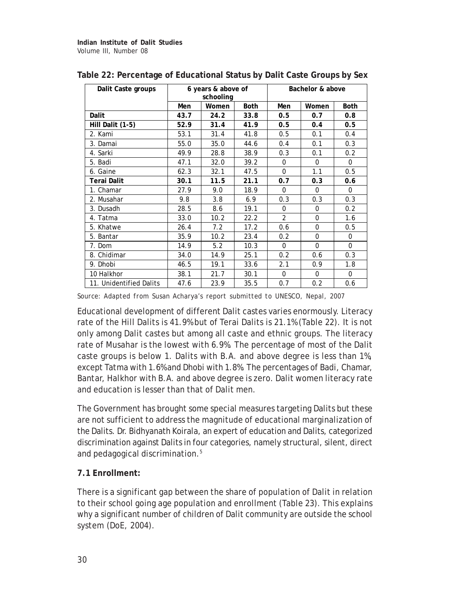| Dalit Caste groups      | 6 years & above of<br>schooling |       |             | Bachelor & above |          |             |
|-------------------------|---------------------------------|-------|-------------|------------------|----------|-------------|
|                         | Men                             | Women | <b>Both</b> | Men              | Women    | <b>Both</b> |
| Dalit                   | 43.7                            | 24.2  | 33.8        | 0.5              | 0.7      | 0.8         |
| Hill Dalit (1-5)        | 52.9                            | 31.4  | 41.9        | 0.5              | 0.4      | 0.5         |
| 2. Kami                 | 53.1                            | 31.4  | 41.8        | 0.5              | 0.1      | 0.4         |
| 3. Damai                | 55.0                            | 35.0  | 44.6        | 0.4              | 0.1      | 0.3         |
| 4. Sarki                | 49.9                            | 28.8  | 38.9        | 0.3              | 0.1      | 0.2         |
| 5. Badi                 | 47.1                            | 32.0  | 39.2        | $\mathbf 0$      | $\Omega$ | $\Omega$    |
| 6. Gaine                | 62.3                            | 32.1  | 47.5        | $\Omega$         | 1.1      | 0.5         |
| Terai Dalit             | 30.1                            | 11.5  | 21.1        | 0.7              | 0.3      | 0.6         |
| 1. Chamar               | 27.9                            | 9.0   | 18.9        | $\Omega$         | $\Omega$ | $\Omega$    |
| 2. Musahar              | 9.8                             | 3.8   | 6.9         | 0.3              | 0.3      | 0.3         |
| 3. Dusadh               | 28.5                            | 8.6   | 19.1        | $\mathbf 0$      | 0        | 0.2         |
| 4. Tatma                | 33.0                            | 10.2  | 22.2        | $\overline{2}$   | $\Omega$ | 1.6         |
| 5. Khatwe               | 26.4                            | 7.2   | 17.2        | 0.6              | $\Omega$ | 0.5         |
| 5. Bantar               | 35.9                            | 10.2  | 23.4        | 0.2              | $\Omega$ | 0           |
| 7. Dom                  | 14.9                            | 5.2   | 10.3        | $\Omega$         | $\Omega$ | $\Omega$    |
| 8. Chidimar             | 34.0                            | 14.9  | 25.1        | 0.2              | 0.6      | 0.3         |
| 9. Dhobi                | 46.5                            | 19.1  | 33.6        | 2.1              | 0.9      | 1.8         |
| 10 Halkhor              | 38.1                            | 21.7  | 30.1        | $\Omega$         | $\Omega$ | 0           |
| 11. Unidentified Dalits | 47.6                            | 23.9  | 35.5        | 0.7              | 0.2      | 0.6         |

| Table 22: Percentage of Educational Status by Dalit Caste Groups by Sex |  |  |
|-------------------------------------------------------------------------|--|--|
|                                                                         |  |  |
|                                                                         |  |  |
|                                                                         |  |  |

*Source: Adapted from Susan Acharya's report submitted to UNESCO, Nepal, 2007*

Educational development of different Dalit castes varies enormously. Literacy rate of the Hill Dalits is 41.9% but of Terai Dalits is 21.1% (Table 22). It is not only among Dalit castes but among all caste and ethnic groups. The literacy rate of *Musahar* is the lowest with 6.9%. The percentage of most of the Dalit caste groups is below 1. Dalits with B.A. and above degree is less than 1%, except *Tatma* with 1.6% and *Dhobi* with 1.8%. The percentages of *Badi, Chamar, Bantar, Halkhor* with B.A. and above degree is zero. Dalit women literacy rate and education is lesser than that of Dalit men.

The Government has brought some special measures targeting Dalits but these are not sufficient to address the magnitude of educational marginalization of the Dalits. Dr. Bidhyanath Koirala, an expert of education and Dalits, categorized discrimination against Dalits in four categories, namely structural, silent, direct and pedagogical discrimination.5

## **7.1 Enrollment:**

There is a significant gap between the share of population of Dalit in relation to their school going age population and enrollment (Table 23). This explains why a significant number of children of Dalit community are outside the school system (DoE, 2004).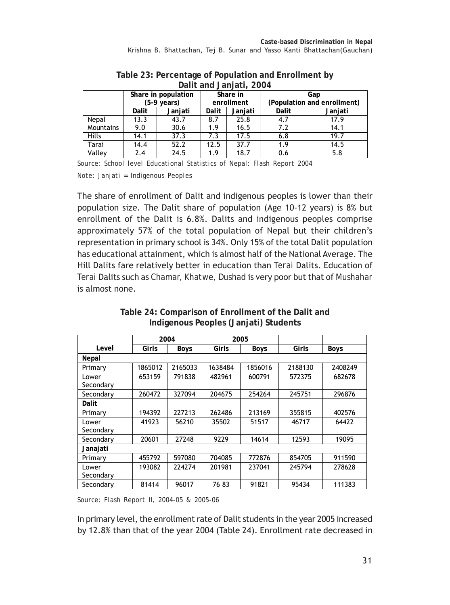| $501111$ and $501111$ at $7000$ is |                                 |                     |       |            |                             |         |  |  |
|------------------------------------|---------------------------------|---------------------|-------|------------|-----------------------------|---------|--|--|
|                                    |                                 | Share in population |       | Share in   | Gap                         |         |  |  |
|                                    | (5-9 years)<br>Janjati<br>Dalit |                     |       | enrollment | (Population and enrollment) |         |  |  |
|                                    |                                 |                     | Dalit | Janjati    | Dalit                       | Janjati |  |  |
| Nepal                              | 13.3                            | 43.7                | 8.7   | 25.8       | 4.7                         | 17.9    |  |  |
| Mountains                          | 9.0                             | 30.6                | 1.9   | 16.5       | 7.2                         | 14.1    |  |  |
| Hills                              | 14.1                            | 37.3                | 7.3   | 17.5       | 6.8                         | 19.7    |  |  |
| Tarai                              | 14.4                            | 52.2                | 12.5  | 37.7       | 1.9                         | 14.5    |  |  |
| Valley                             | 2.4                             | 24.5                | 1.9   | 18.7       | 0.6                         | 5.8     |  |  |

#### **Table 23: Percentage of Population and Enrollment by Dalit and Janjati, 2004**

*Source: School level Educational Statistics of Nepal: Flash Report 2004 Note: Janjati = Indigenous Peoples*

The share of enrollment of Dalit and indigenous peoples is lower than their population size. The Dalit share of population (Age 10-12 years) is 8% but enrollment of the Dalit is 6.8%. Dalits and indigenous peoples comprise approximately 57% of the total population of Nepal but their children's representation in primary school is 34%. Only 15% of the total Dalit population has educational attainment, which is almost half of the National Average. The Hill Dalits fare relatively better in education than *Terai* Dalits. Education of *Terai* Dalits such as *Chamar, Khatwe, Dushad* is very poor but that of *Mushahar* is almost none.

**Table 24: Comparison of Enrollment of the Dalit and Indigenous Peoples (Janjati) Students**

|                    | 2004    |             | 2005    |             |         |         |
|--------------------|---------|-------------|---------|-------------|---------|---------|
| Level              | Girls   | <b>Boys</b> | Girls   | <b>Boys</b> | Girls   | Boys    |
| Nepal              |         |             |         |             |         |         |
| Primary            | 1865012 | 2165033     | 1638484 | 1856016     | 2188130 | 2408249 |
| Lower<br>Secondary | 653159  | 791838      | 482961  | 600791      | 572375  | 682678  |
| Secondary          | 260472  | 327094      | 204675  | 254264      | 245751  | 296876  |
| Dalit              |         |             |         |             |         |         |
| Primary            | 194392  | 227213      | 262486  | 213169      | 355815  | 402576  |
| Lower<br>Secondary | 41923   | 56210       | 35502   | 51517       | 46717   | 64422   |
| Secondary          | 20601   | 27248       | 9229    | 14614       | 12593   | 19095   |
| Janajati           |         |             |         |             |         |         |
| Primary            | 455792  | 597080      | 704085  | 772876      | 854705  | 911590  |
| Lower<br>Secondary | 193082  | 224274      | 201981  | 237041      | 245794  | 278628  |
| Secondary          | 81414   | 96017       | 76 83   | 91821       | 95434   | 111383  |

*Source: Flash Report II, 2004-05 & 2005-06*

In primary level, the enrollment rate of Dalit students in the year 2005 increased by 12.8% than that of the year 2004 (Table 24). Enrollment rate decreased in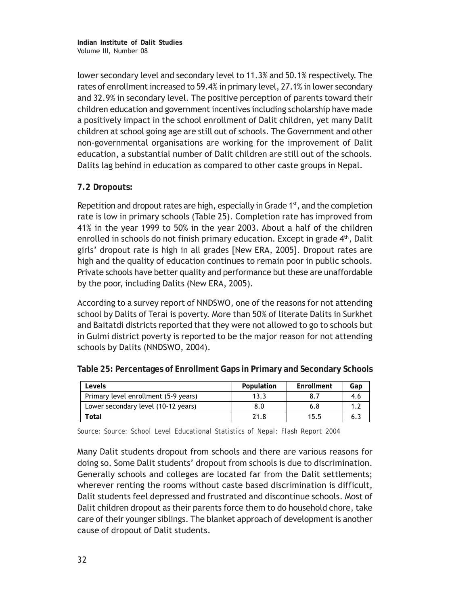**Indian Institute of Dalit Studies** Volume III, Number 08

lower secondary level and secondary level to 11.3% and 50.1% respectively. The rates of enrollment increased to 59.4% in primary level, 27.1% in lower secondary and 32.9% in secondary level. The positive perception of parents toward their children education and government incentives including scholarship have made a positively impact in the school enrollment of Dalit children, yet many Dalit children at school going age are still out of schools. The Government and other non-governmental organisations are working for the improvement of Dalit education, a substantial number of Dalit children are still out of the schools. Dalits lag behind in education as compared to other caste groups in Nepal.

## **7.2 Dropouts:**

Repetition and dropout rates are high, especially in Grade  $1<sup>st</sup>$ , and the completion rate is low in primary schools (Table 25). Completion rate has improved from 41% in the year 1999 to 50% in the year 2003. About a half of the children enrolled in schools do not finish primary education. Except in grade 4<sup>th</sup>, Dalit girls' dropout rate is high in all grades [New ERA, 2005]. Dropout rates are high and the quality of education continues to remain poor in public schools. Private schools have better quality and performance but these are unaffordable by the poor, including Dalits (New ERA, 2005).

According to a survey report of NNDSWO, one of the reasons for not attending school by Dalits of *Terai* is poverty. More than 50% of literate Dalits in Surkhet and Baitatdi districts reported that they were not allowed to go to schools but in Gulmi district poverty is reported to be the major reason for not attending schools by Dalits (NNDSWO, 2004).

| Levels                               | Population | Enrollment | Gap |
|--------------------------------------|------------|------------|-----|
| Primary level enrollment (5-9 years) | 13.3       |            | 4.6 |
| Lower secondary level (10-12 years)  | 8.0        | 6.8        |     |
| Total                                | 21.8       | 15.5       |     |

**Table 25: Percentages of Enrollment Gaps in Primary and Secondary Schools**

*Source: Source: School Level Educational Statistics of Nepal: Flash Report 2004*

Many Dalit students dropout from schools and there are various reasons for doing so. Some Dalit students' dropout from schools is due to discrimination. Generally schools and colleges are located far from the Dalit settlements; wherever renting the rooms without caste based discrimination is difficult, Dalit students feel depressed and frustrated and discontinue schools. Most of Dalit children dropout as their parents force them to do household chore, take care of their younger siblings. The blanket approach of development is another cause of dropout of Dalit students.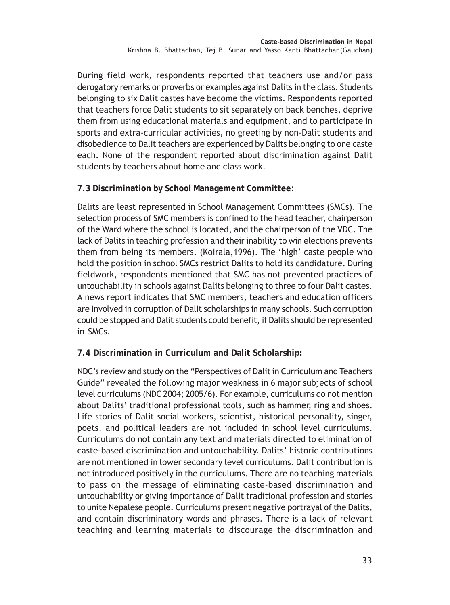During field work, respondents reported that teachers use and/or pass derogatory remarks or proverbs or examples against Dalits in the class. Students belonging to six Dalit castes have become the victims. Respondents reported that teachers force Dalit students to sit separately on back benches, deprive them from using educational materials and equipment, and to participate in sports and extra-curricular activities, no greeting by non-Dalit students and disobedience to Dalit teachers are experienced by Dalits belonging to one caste each. None of the respondent reported about discrimination against Dalit students by teachers about home and class work.

**7.3 Discrimination by School Management Committee:**

Dalits are least represented in School Management Committees (SMCs). The selection process of SMC members is confined to the head teacher, chairperson of the Ward where the school is located, and the chairperson of the VDC. The lack of Dalits in teaching profession and their inability to win elections prevents them from being its members. (Koirala,1996). The 'high' caste people who hold the position in school SMCs restrict Dalits to hold its candidature. During fieldwork, respondents mentioned that SMC has not prevented practices of untouchability in schools against Dalits belonging to three to four Dalit castes. A news report indicates that SMC members, teachers and education officers are involved in corruption of Dalit scholarships in many schools. Such corruption could be stopped and Dalit students could benefit, if Dalits should be represented in SMCs.

**7.4 Discrimination in Curriculum and Dalit Scholarship:**

NDC's review and study on the "Perspectives of Dalit in Curriculum and Teachers Guide" revealed the following major weakness in 6 major subjects of school level curriculums (NDC 2004; 2005/6). For example, curriculums do not mention about Dalits' traditional professional tools, such as hammer, ring and shoes. Life stories of Dalit social workers, scientist, historical personality, singer, poets, and political leaders are not included in school level curriculums. Curriculums do not contain any text and materials directed to elimination of caste-based discrimination and untouchability. Dalits' historic contributions are not mentioned in lower secondary level curriculums. Dalit contribution is not introduced positively in the curriculums. There are no teaching materials to pass on the message of eliminating caste-based discrimination and untouchability or giving importance of Dalit traditional profession and stories to unite Nepalese people. Curriculums present negative portrayal of the Dalits, and contain discriminatory words and phrases. There is a lack of relevant teaching and learning materials to discourage the discrimination and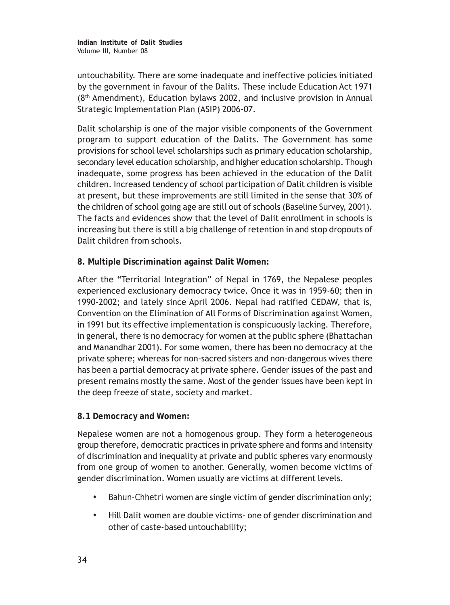untouchability. There are some inadequate and ineffective policies initiated by the government in favour of the Dalits. These include Education Act 1971 (8th Amendment), Education bylaws 2002, and inclusive provision in Annual Strategic Implementation Plan (ASIP) 2006-07.

Dalit scholarship is one of the major visible components of the Government program to support education of the Dalits. The Government has some provisions for school level scholarships such as primary education scholarship, secondary level education scholarship, and higher education scholarship. Though inadequate, some progress has been achieved in the education of the Dalit children. Increased tendency of school participation of Dalit children is visible at present, but these improvements are still limited in the sense that 30% of the children of school going age are still out of schools (Baseline Survey, 2001). The facts and evidences show that the level of Dalit enrollment in schools is increasing but there is still a big challenge of retention in and stop dropouts of Dalit children from schools.

**8. Multiple Discrimination against Dalit Women:**

After the "Territorial Integration" of Nepal in 1769, the Nepalese peoples experienced exclusionary democracy twice. Once it was in 1959-60; then in 1990-2002; and lately since April 2006. Nepal had ratified CEDAW, that is, Convention on the Elimination of All Forms of Discrimination against Women, in 1991 but its effective implementation is conspicuously lacking. Therefore, in general, there is no democracy for women at the public sphere (Bhattachan and Manandhar 2001). For some women, there has been no democracy at the private sphere; whereas for non-sacred sisters and non-dangerous wives there has been a partial democracy at private sphere. Gender issues of the past and present remains mostly the same. Most of the gender issues have been kept in the deep freeze of state, society and market.

## **8.1 Democracy and Women:**

Nepalese women are not a homogenous group. They form a heterogeneous group therefore, democratic practices in private sphere and forms and intensity of discrimination and inequality at private and public spheres vary enormously from one group of women to another. Generally, women become victims of gender discrimination. Women usually are victims at different levels.

- *• Bahun-Chhetri* women are single victim of gender discrimination only;
- *•* Hill Dalit women are double victims- one of gender discrimination and other of caste-based untouchability;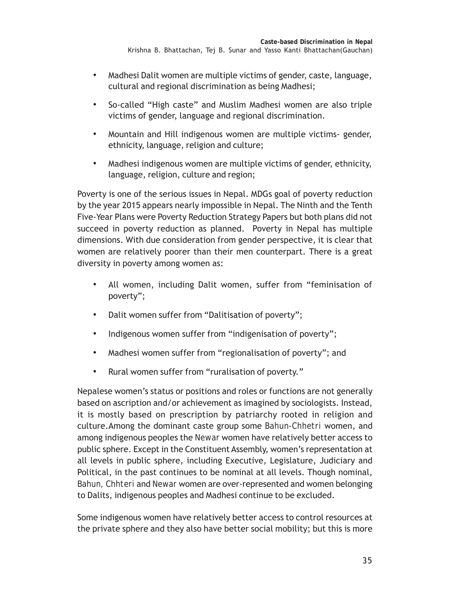- *•* Madhesi Dalit women are multiple victims of gender, caste, language, cultural and regional discrimination as being Madhesi;
- *•* So-called "High caste" and Muslim Madhesi women are also triple victims of gender, language and regional discrimination.
- *•* Mountain and Hill indigenous women are multiple victims- gender, ethnicity, language, religion and culture;
- *•* Madhesi indigenous women are multiple victims of gender, ethnicity, language, religion, culture and region;

Poverty is one of the serious issues in Nepal. MDGs goal of poverty reduction by the year 2015 appears nearly impossible in Nepal. The Ninth and the Tenth Five-Year Plans were Poverty Reduction Strategy Papers but both plans did not succeed in poverty reduction as planned. Poverty in Nepal has multiple dimensions. With due consideration from gender perspective, it is clear that women are relatively poorer than their men counterpart. There is a great diversity in poverty among women as:

- *•* All women, including Dalit women, suffer from "feminisation of poverty";
- *•* Dalit women suffer from "Dalitisation of poverty";
- *•* Indigenous women suffer from "indigenisation of poverty";
- *•* Madhesi women suffer from "regionalisation of poverty"; and
- *•* Rural women suffer from "ruralisation of poverty."

Nepalese women's status or positions and roles or functions are not generally based on ascription and/or achievement as imagined by sociologists. Instead, it is mostly based on prescription by patriarchy rooted in religion and culture.Among the dominant caste group some *Bahun-Chhetri* women, and among indigenous peoples the *Newar* women have relatively better access to public sphere. Except in the Constituent Assembly, women's representation at all levels in public sphere, including Executive, Legislature, Judiciary and Political, in the past continues to be nominal at all levels. Though nominal, *Bahun, Chhteri* and *Newar* women are over-represented and women belonging to Dalits, indigenous peoples and Madhesi continue to be excluded.

Some indigenous women have relatively better access to control resources at the private sphere and they also have better social mobility; but this is more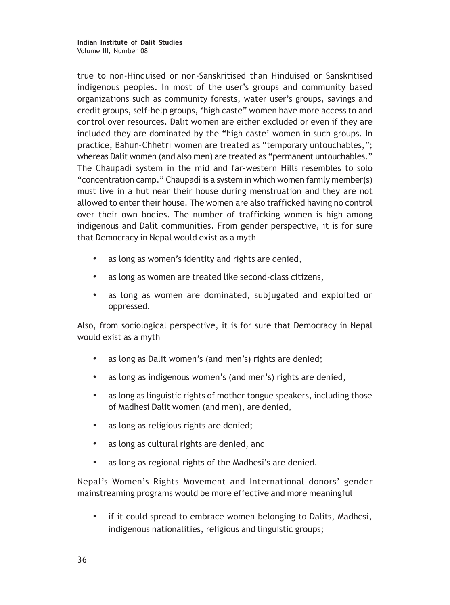**Indian Institute of Dalit Studies** Volume III, Number 08

true to non-Hinduised or non-Sanskritised than Hinduised or Sanskritised indigenous peoples. In most of the user's groups and community based organizations such as community forests, water user's groups, savings and credit groups, self-help groups, 'high caste" women have more access to and control over resources. Dalit women are either excluded or even if they are included they are dominated by the "high caste' women in such groups. In practice, *Bahun-Chhetri* women are treated as "temporary untouchables,"; whereas Dalit women (and also men) are treated as "permanent untouchables." The *Chaupadi* system in the mid and far-western Hills resembles to solo "concentration camp." *Chaupadi* is a system in which women family member(s) must live in a hut near their house during menstruation and they are not allowed to enter their house. The women are also trafficked having no control over their own bodies. The number of trafficking women is high among indigenous and Dalit communities. From gender perspective, it is for sure that Democracy in Nepal would exist as a myth

- *•* as long as women's identity and rights are denied,
- *•* as long as women are treated like second-class citizens,
- *•* as long as women are dominated, subjugated and exploited or oppressed.

Also, from sociological perspective, it is for sure that Democracy in Nepal would exist as a myth

- *•* as long as Dalit women's (and men's) rights are denied;
- *•* as long as indigenous women's (and men's) rights are denied,
- *•* as long as linguistic rights of mother tongue speakers, including those of Madhesi Dalit women (and men), are denied,
- *•* as long as religious rights are denied;
- *•* as long as cultural rights are denied, and
- *•* as long as regional rights of the Madhesi's are denied.

Nepal's Women's Rights Movement and International donors' gender mainstreaming programs would be more effective and more meaningful

*•* if it could spread to embrace women belonging to Dalits, Madhesi, indigenous nationalities, religious and linguistic groups;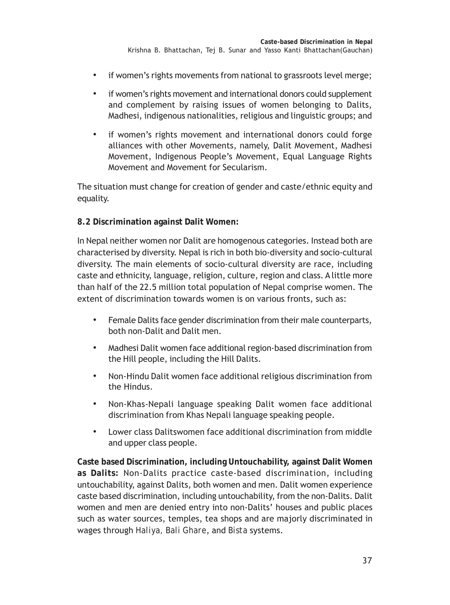- *•* if women's rights movements from national to grassroots level merge;
- *•* if women's rights movement and international donors could supplement and complement by raising issues of women belonging to Dalits, Madhesi, indigenous nationalities, religious and linguistic groups; and
- *•* if women's rights movement and international donors could forge alliances with other Movements, namely, Dalit Movement, Madhesi Movement, Indigenous People's Movement, Equal Language Rights Movement and Movement for Secularism.

The situation must change for creation of gender and caste/ethnic equity and equality.

## **8.2 Discrimination against Dalit Women:**

In Nepal neither women nor Dalit are homogenous categories. Instead both are characterised by diversity. Nepal is rich in both bio-diversity and socio-cultural diversity. The main elements of socio-cultural diversity are race, including caste and ethnicity, language, religion, culture, region and class. A little more than half of the 22.5 million total population of Nepal comprise women. The extent of discrimination towards women is on various fronts, such as:

- *•* Female Dalits face gender discrimination from their male counterparts, both non-Dalit and Dalit men.
- *•* Madhesi Dalit women face additional region-based discrimination from the Hill people, including the Hill Dalits.
- *•* Non-Hindu Dalit women face additional religious discrimination from the Hindus.
- *•* Non-Khas-Nepali language speaking Dalit women face additional discrimination from Khas Nepali language speaking people.
- *•* Lower class Dalitswomen face additional discrimination from middle and upper class people.

**Caste based Discrimination, including Untouchability, against Dalit Women as Dalits:** Non-Dalits practice caste-based discrimination, including untouchability, against Dalits, both women and men. Dalit women experience caste based discrimination, including untouchability, from the non-Dalits. Dalit women and men are denied entry into non-Dalits' houses and public places such as water sources, temples, tea shops and are majorly discriminated in wages through *Haliya, Bali Ghare*, and *Bista* systems.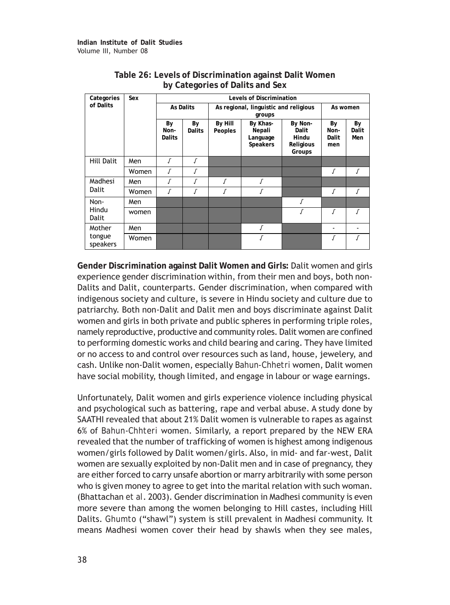| Categories         | Sex   | <b>Levels of Discrimination</b> |                     |                                       |                                            |                                                  |                            |                    |
|--------------------|-------|---------------------------------|---------------------|---------------------------------------|--------------------------------------------|--------------------------------------------------|----------------------------|--------------------|
| of Dalits          |       |                                 | <b>As Dalits</b>    | As regional, linguistic and religious | As women                                   |                                                  |                            |                    |
|                    |       | By<br>Non-<br>Dalits            | By<br><b>Dalits</b> | By Hill<br>Peoples                    | By Khas-<br>Nepali<br>Language<br>Speakers | By Non-<br>Dalit<br>Hindu<br>Religious<br>Groups | By<br>Non-<br>Dalit<br>men | By<br>Dalit<br>Men |
| <b>Hill Dalit</b>  | Men   | $\sqrt{ }$                      |                     |                                       |                                            |                                                  |                            |                    |
|                    | Women | Г                               |                     |                                       |                                            |                                                  |                            |                    |
| Madhesi            | Men   | Г                               |                     | Г                                     | ſ                                          |                                                  |                            |                    |
| Dalit              | Women | Г                               |                     |                                       |                                            |                                                  | Г                          | Г                  |
| Non-               | Men   |                                 |                     |                                       |                                            |                                                  |                            |                    |
| Hindu<br>Dalit     | women |                                 |                     |                                       |                                            |                                                  | $\sqrt{ }$                 |                    |
| Mother             | Men   |                                 |                     |                                       | ſ                                          |                                                  |                            |                    |
| tongue<br>speakers | Women |                                 |                     |                                       | $\sqrt{ }$                                 |                                                  |                            |                    |

## **Table 26: Levels of Discrimination against Dalit Women by Categories of Dalits and Sex**

**Gender Discrimination against Dalit Women and Girls:** Dalit women and girls experience gender discrimination within, from their men and boys, both non-Dalits and Dalit, counterparts. Gender discrimination, when compared with indigenous society and culture, is severe in Hindu society and culture due to patriarchy. Both non-Dalit and Dalit men and boys discriminate against Dalit women and girls in both private and public spheres in performing triple roles, namely reproductive, productive and community roles. Dalit women are confined to performing domestic works and child bearing and caring. They have limited or no access to and control over resources such as land, house, jewelery, and cash. Unlike non-Dalit women, especially *Bahun-Chhetri* women, Dalit women have social mobility, though limited, and engage in labour or wage earnings.

Unfortunately, Dalit women and girls experience violence including physical and psychological such as battering, rape and verbal abuse. A study done by SAATHI revealed that about 21% Dalit women is vulnerable to rapes as against 6% of *Bahun*-*Chhteri* women. Similarly, a report prepared by the NEW ERA revealed that the number of trafficking of women is highest among indigenous women/girls followed by Dalit women/girls. Also, in mid- and far-west, Dalit women are sexually exploited by non-Dalit men and in case of pregnancy, they are either forced to carry unsafe abortion or marry arbitrarily with some person who is given money to agree to get into the marital relation with such woman. (Bhattachan *et al*. 2003). Gender discrimination in Madhesi community is even more severe than among the women belonging to Hill castes, including Hill Dalits. *Ghumto* ("shawl") system is still prevalent in Madhesi community. It means Madhesi women cover their head by shawls when they see males,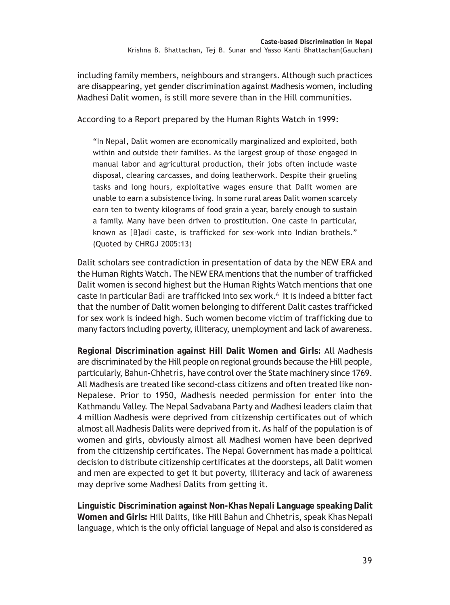including family members, neighbours and strangers. Although such practices are disappearing, yet gender discrimination against Madhesis women, including Madhesi Dalit women, is still more severe than in the Hill communities.

According to a Report prepared by the Human Rights Watch in 1999:

"In *Nepal*, Dalit women are economically marginalized and exploited, both within and outside their families. As the largest group of those engaged in manual labor and agricultural production, their jobs often include waste disposal, clearing carcasses, and doing leatherwork. Despite their grueling tasks and long hours, exploitative wages ensure that Dalit women are unable to earn a subsistence living. In some rural areas Dalit women scarcely earn ten to twenty kilograms of food grain a year, barely enough to sustain a family. Many have been driven to prostitution. One caste in particular, known as *[B]adi* caste, is trafficked for sex-work into Indian brothels." (Quoted by CHRGJ 2005:13)

Dalit scholars see contradiction in presentation of data by the NEW ERA and the Human Rights Watch. The NEW ERA mentions that the number of trafficked Dalit women is second highest but the Human Rights Watch mentions that one caste in particular *Badi* are trafficked into sex work.<sup>6</sup> It is indeed a bitter fact that the number of Dalit women belonging to different Dalit castes trafficked for sex work is indeed high. Such women become victim of trafficking due to many factors including poverty, illiteracy, unemployment and lack of awareness.

**Regional Discrimination against Hill Dalit Women and Girls:** All Madhesis are discriminated by the Hill people on regional grounds because the Hill people, particularly, *Bahun-Chhetris*, have control over the State machinery since 1769. All Madhesis are treated like second-class citizens and often treated like non-Nepalese. Prior to 1950, Madhesis needed permission for enter into the Kathmandu Valley. The Nepal Sadvabana Party and Madhesi leaders claim that 4 million Madhesis were deprived from citizenship certificates out of which almost all Madhesis Dalits were deprived from it. As half of the population is of women and girls, obviously almost all Madhesi women have been deprived from the citizenship certificates. The Nepal Government has made a political decision to distribute citizenship certificates at the doorsteps, all Dalit women and men are expected to get it but poverty, illiteracy and lack of awareness may deprive some Madhesi Dalits from getting it.

**Linguistic Discrimination against Non-Khas Nepali Language speaking Dalit Women and Girls:** Hill Dalits, like Hill *Bahun* and *Chhetris*, speak *Khas* Nepali language, which is the only official language of Nepal and also is considered as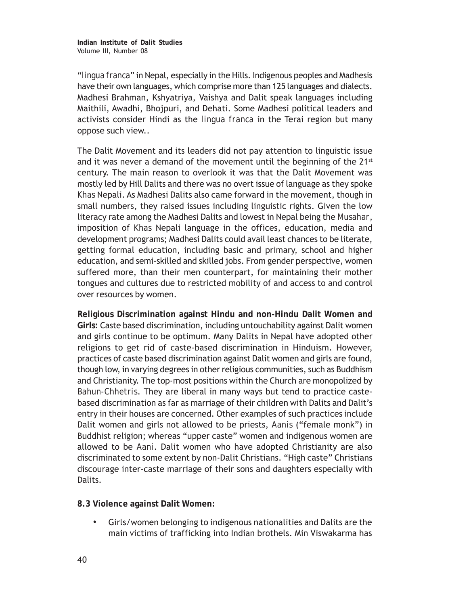"*lingua franca*" in Nepal, especially in the Hills. Indigenous peoples and Madhesis have their own languages, which comprise more than 125 languages and dialects. Madhesi Brahman, Kshyatriya, Vaishya and Dalit speak languages including Maithili, Awadhi, Bhojpuri, and Dehati. Some Madhesi political leaders and activists consider Hindi as the *lingua franca* in the Terai region but many oppose such view..

The Dalit Movement and its leaders did not pay attention to linguistic issue and it was never a demand of the movement until the beginning of the  $21^{st}$ century. The main reason to overlook it was that the Dalit Movement was mostly led by Hill Dalits and there was no overt issue of language as they spoke *Khas* Nepali. As Madhesi Dalits also came forward in the movement, though in small numbers, they raised issues including linguistic rights. Given the low literacy rate among the Madhesi Dalits and lowest in Nepal being the *Musahar*, imposition of *Khas* Nepali language in the offices, education, media and development programs; Madhesi Dalits could avail least chances to be literate, getting formal education, including basic and primary, school and higher education, and semi-skilled and skilled jobs. From gender perspective, women suffered more, than their men counterpart, for maintaining their mother tongues and cultures due to restricted mobility of and access to and control over resources by women.

**Religious Discrimination against Hindu and non-Hindu Dalit Women and Girls:** Caste based discrimination, including untouchability against Dalit women and girls continue to be optimum. Many Dalits in Nepal have adopted other religions to get rid of caste-based discrimination in Hinduism. However, practices of caste based discrimination against Dalit women and girls are found, though low, in varying degrees in other religious communities, such as Buddhism and Christianity. The top-most positions within the Church are monopolized by *Bahun-Chhetris*. They are liberal in many ways but tend to practice castebased discrimination as far as marriage of their children with Dalits and Dalit's entry in their houses are concerned. Other examples of such practices include Dalit women and girls not allowed to be priests, *Aanis* ("female monk") in Buddhist religion; whereas "upper caste" women and indigenous women are allowed to be *Aani*. Dalit women who have adopted Christianity are also discriminated to some extent by non-Dalit Christians. "High caste" Christians discourage inter-caste marriage of their sons and daughters especially with Dalits.

**8.3 Violence against Dalit Women:**

*•* Girls/women belonging to indigenous nationalities and Dalits are the main victims of trafficking into Indian brothels. Min Viswakarma has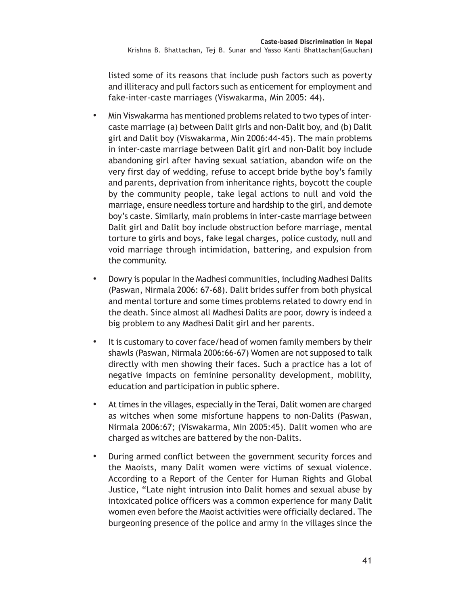listed some of its reasons that include push factors such as poverty and illiteracy and pull factors such as enticement for employment and fake-inter-caste marriages (Viswakarma, Min 2005: 44).

- *•* Min Viswakarma has mentioned problems related to two types of intercaste marriage (a) between Dalit girls and non-Dalit boy, and (b) Dalit girl and Dalit boy (Viswakarma, Min 2006:44-45). The main problems in inter-caste marriage between Dalit girl and non-Dalit boy include abandoning girl after having sexual satiation, abandon wife on the very first day of wedding, refuse to accept bride bythe boy's family and parents, deprivation from inheritance rights, boycott the couple by the community people, take legal actions to null and void the marriage, ensure needless torture and hardship to the girl, and demote boy's caste. Similarly, main problems in inter-caste marriage between Dalit girl and Dalit boy include obstruction before marriage, mental torture to girls and boys, fake legal charges, police custody, null and void marriage through intimidation, battering, and expulsion from the community.
- *•* Dowry is popular in the Madhesi communities, including Madhesi Dalits (Paswan, Nirmala 2006: 67-68). Dalit brides suffer from both physical and mental torture and some times problems related to dowry end in the death. Since almost all Madhesi Dalits are poor, dowry is indeed a big problem to any Madhesi Dalit girl and her parents.
- *•* It is customary to cover face/head of women family members by their shawls (Paswan, Nirmala 2006:66-67) Women are not supposed to talk directly with men showing their faces. Such a practice has a lot of negative impacts on feminine personality development, mobility, education and participation in public sphere.
- *•* At times in the villages, especially in the Terai, Dalit women are charged as witches when some misfortune happens to non-Dalits (Paswan, Nirmala 2006:67; (Viswakarma, Min 2005:45). Dalit women who are charged as witches are battered by the non-Dalits.
- *•* During armed conflict between the government security forces and the Maoists, many Dalit women were victims of sexual violence. According to a Report of the Center for Human Rights and Global Justice, "Late night intrusion into Dalit homes and sexual abuse by intoxicated police officers was a common experience for many Dalit women even before the Maoist activities were officially declared. The burgeoning presence of the police and army in the villages since the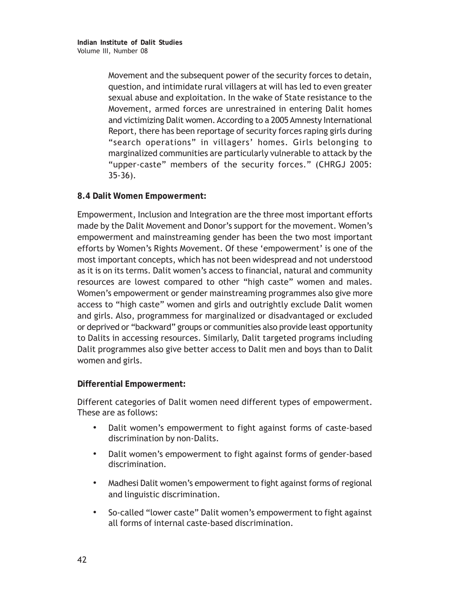Movement and the subsequent power of the security forces to detain, question, and intimidate rural villagers at will has led to even greater sexual abuse and exploitation. In the wake of State resistance to the Movement, armed forces are unrestrained in entering Dalit homes and victimizing Dalit women. According to a 2005 Amnesty International Report, there has been reportage of security forces raping girls during "search operations" in villagers' homes. Girls belonging to marginalized communities are particularly vulnerable to attack by the "upper-caste" members of the security forces." (CHRGJ 2005: 35-36).

## **8.4 Dalit Women Empowerment:**

Empowerment, Inclusion and Integration are the three most important efforts made by the Dalit Movement and Donor's support for the movement. Women's empowerment and mainstreaming gender has been the two most important efforts by Women's Rights Movement. Of these 'empowerment' is one of the most important concepts, which has not been widespread and not understood as it is on its terms. Dalit women's access to financial, natural and community resources are lowest compared to other "high caste" women and males. Women's empowerment or gender mainstreaming programmes also give more access to "high caste" women and girls and outrightly exclude Dalit women and girls. Also, programmess for marginalized or disadvantaged or excluded or deprived or "backward" groups or communities also provide least opportunity to Dalits in accessing resources. Similarly, Dalit targeted programs including Dalit programmes also give better access to Dalit men and boys than to Dalit women and girls.

#### **Differential Empowerment:**

Different categories of Dalit women need different types of empowerment. These are as follows:

- *•* Dalit women's empowerment to fight against forms of caste-based discrimination by non-Dalits.
- *•* Dalit women's empowerment to fight against forms of gender-based discrimination.
- *•* Madhesi Dalit women's empowerment to fight against forms of regional and linguistic discrimination.
- *•* So-called "lower caste" Dalit women's empowerment to fight against all forms of internal caste-based discrimination.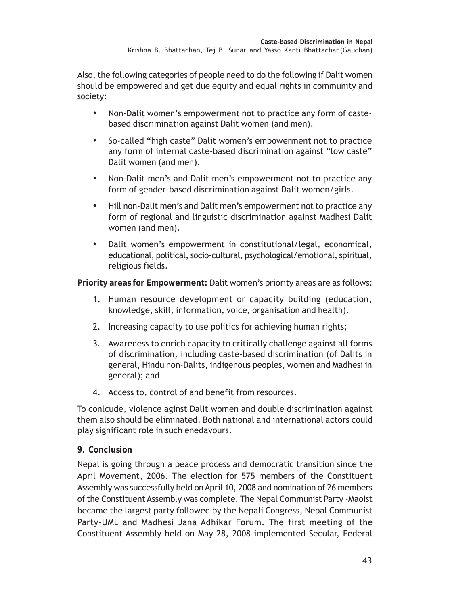Also, the following categories of people need to do the following if Dalit women should be empowered and get due equity and equal rights in community and society:

- *•* Non-Dalit women's empowerment not to practice any form of castebased discrimination against Dalit women (and men).
- *•* So-called "high caste" Dalit women's empowerment not to practice any form of internal caste-based discrimination against "low caste" Dalit women (and men).
- *•* Non-Dalit men's and Dalit men's empowerment not to practice any form of gender-based discrimination against Dalit women/girls.
- *•* Hill non-Dalit men's and Dalit men's empowerment not to practice any form of regional and linguistic discrimination against Madhesi Dalit women (and men).
- *•* Dalit women's empowerment in constitutional/legal, economical, educational, political, socio-cultural, psychological/emotional, spiritual, religious fields.

**Priority areas for Empowerment:** Dalit women's priority areas are as follows:

- 1. Human resource development or capacity building (education, knowledge, skill, information, voice, organisation and health).
- 2. Increasing capacity to use politics for achieving human rights;
- 3. Awareness to enrich capacity to critically challenge against all forms of discrimination, including caste-based discrimination (of Dalits in general, Hindu non-Dalits, indigenous peoples, women and Madhesi in general); and
- 4. Access to, control of and benefit from resources.

To conlcude, violence aginst Dalit women and double discrimination against them also should be eliminated. Both national and international actors could play significant role in such enedavours.

## **9. Conclusion**

Nepal is going through a peace process and democratic transition since the April Movement, 2006. The election for 575 members of the Constituent Assembly was successfully held on April 10, 2008 and nomination of 26 members of the Constituent Assembly was complete. The Nepal Communist Party -Maoist became the largest party followed by the Nepali Congress, Nepal Communist Party-UML and Madhesi Jana Adhikar Forum. The first meeting of the Constituent Assembly held on May 28, 2008 implemented Secular, Federal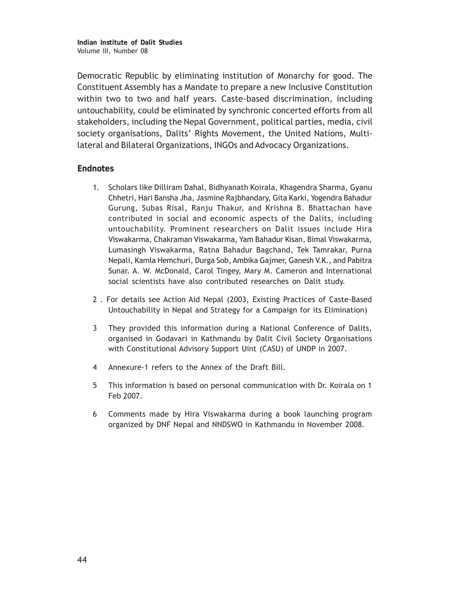**Indian Institute of Dalit Studies** Volume III, Number 08

Democratic Republic by eliminating institution of Monarchy for good. The Constituent Assembly has a Mandate to prepare a new Inclusive Constitution within two to two and half years. Caste-based discrimination, including untouchability, could be eliminated by synchronic concerted efforts from all stakeholders, including the Nepal Government, political parties, media, civil society organisations, Dalits' Rights Movement, the United Nations, Multilateral and Bilateral Organizations, INGOs and Advocacy Organizations.

#### **Endnotes**

- 1. Scholars like Dilliram Dahal, Bidhyanath Koirala, Khagendra Sharma, Gyanu Chhetri, Hari Bansha Jha, Jasmine Rajbhandary, Gita Karki, Yogendra Bahadur Gurung, Subas Risal, Ranju Thakur, and Krishna B. Bhattachan have contributed in social and economic aspects of the Dalits, including untouchability. Prominent researchers on Dalit issues include Hira Viswakarma, Chakraman Viswakarma, Yam Bahadur Kisan, Bimal Viswakarma, Lumasingh Viswakarma, Ratna Bahadur Bagchand, Tek Tamrakar, Purna Nepali, Kamla Hemchuri, Durga Sob, Ambika Gajmer, Ganesh V.K., and Pabitra Sunar. A. W. McDonald, Carol Tingey, Mary M. Cameron and International social scientists have also contributed researches on Dalit study.
- 2 . For details see Action Aid Nepal (2003, Existing Practices of Caste-Based Untouchability in Nepal and Strategy for a Campaign for its Elimination)
- 3 They provided this information during a National Conference of Dalits, organised in Godavari in Kathmandu by Dalit Civil Society Organisations with Constitutional Advisory Support Uint (CASU) of UNDP in 2007.
- 4 Annexure-1 refers to the Annex of the Draft Bill.
- 5 This information is based on personal communication with Dr. Koirala on 1 Feb 2007.
- 6 Comments made by Hira Viswakarma during a book launching program organized by DNF Nepal and NNDSWO in Kathmandu in November 2008.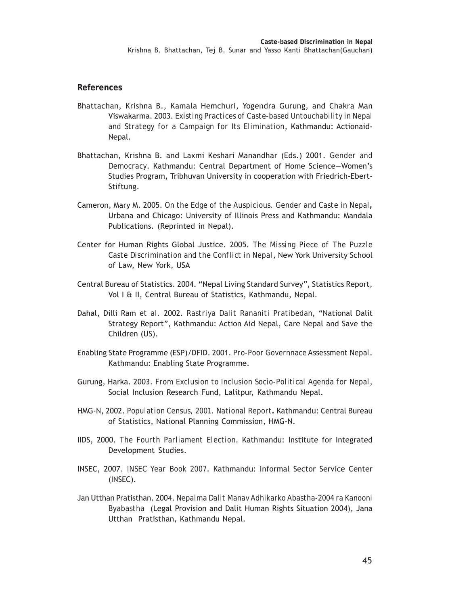#### **References**

- Bhattachan, Krishna B., Kamala Hemchuri, Yogendra Gurung, and Chakra Man Viswakarma. 2003. *Existing Practices of Caste-based Untouchability in Nepal and Strategy for a Campaign for Its Elimination*, Kathmandu: Actionaid-Nepal.
- Bhattachan, Krishna B. and Laxmi Keshari Manandhar (Eds.) 2001. *Gender and Democracy*. Kathmandu: Central Department of Home Science—Women's Studies Program, Tribhuvan University in cooperation with Friedrich-Ebert-Stiftung.
- Cameron, Mary M. 2005. *On the Edge of the Auspicious. Gender and Caste in Nepal***,** Urbana and Chicago: University of Illinois Press and Kathmandu: Mandala Publications. (Reprinted in Nepal).
- Center for Human Rights Global Justice. 2005. *The Missing Piece of The Puzzle Caste Discrimination and the Conflict in Nepal*, New York University School of Law, New York, USA
- Central Bureau of Statistics. 2004. "Nepal Living Standard Survey", Statistics Report, Vol I & II, Central Bureau of Statistics, Kathmandu, Nepal.
- Dahal, Dilli Ram *et al.* 2002. *Rastriya Dalit Rananiti Pratibedan*, "National Dalit Strategy Report", Kathmandu: Action Aid Nepal, Care Nepal and Save the Children (US).
- Enabling State Programme (ESP)/DFID. 2001. *Pro-Poor Governnace Assessment Nepal*. Kathmandu: Enabling State Programme.
- Gurung, Harka. 2003. *From Exclusion to Inclusion Socio-Political Agenda for Nepal*, Social Inclusion Research Fund, Lalitpur, Kathmandu Nepal.
- HMG-N, 2002. *Population Census, 2001. National Report***.** Kathmandu: Central Bureau of Statistics, National Planning Commission, HMG-N.
- IIDS, 2000. *The Fourth Parliament Election*. Kathmandu: Institute for Integrated Development Studies.
- INSEC, 2007. *INSEC Year Book 2007*. Kathmandu: Informal Sector Service Center (INSEC).
- Jan Utthan Pratisthan. 2004. *Nepalma Dalit Manav Adhikarko Abastha-2004 ra Kanooni Byabastha* (Legal Provision and Dalit Human Rights Situation 2004), Jana Utthan Pratisthan, Kathmandu Nepal.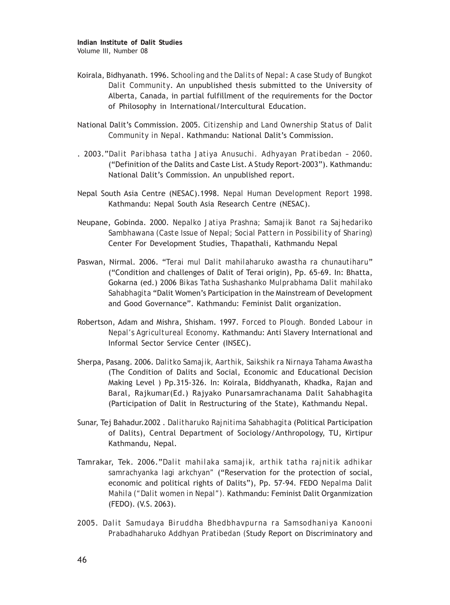**Indian Institute of Dalit Studies** Volume III, Number 08

- Koirala, Bidhyanath. 1996. *Schooling and the Dalits of Nepal*: *A case Study of Bungkot Dalit Community*. An unpublished thesis submitted to the University of Alberta, Canada, in partial fulfillment of the requirements for the Doctor of Philosophy in International/Intercultural Education.
- National Dalit's Commission. 2005. *Citizenship and Land Ownership Status of Dalit Community in Nepal*. Kathmandu: National Dalit's Commission.
- . 2003."*Dalit Paribhasa tatha Jatiya Anusuchi. Adhyayan Pratibedan 2060*. ("Definition of the Dalits and Caste List. A Study Report-2003"). Kathmandu: National Dalit's Commission. An unpublished report.
- Nepal South Asia Centre (NESAC).1998. *Nepal Human Development Report 1998*. Kathmandu: Nepal South Asia Research Centre (NESAC).
- Neupane, Gobinda. 2000. *Nepalko Jatiya Prashna; Samajik Banot ra Sajhedariko Sambhawana (Caste Issue of Nepal; Social Pattern in Possibility of Sharing)* Center For Development Studies, Thapathali, Kathmandu Nepal
- Paswan, Nirmal. 2006. "*Terai mul Dalit mahilaharuko awastha ra chunautiharu*" ("Condition and challenges of Dalit of Terai origin), Pp. 65-69. In: Bhatta, Gokarna (ed.) 2006 *Bikas Tatha Sushashanko Mulprabhama Dalit mahilako Sahabhagita* "Dalit Women's Participation in the Mainstream of Development and Good Governance". Kathmandu: Feminist Dalit organization.
- Robertson, Adam and Mishra, Shisham. 1997. *Forced to Plough. Bonded Labour in Nepal's Agricultureal Economy*. Kathmandu: Anti Slavery International and Informal Sector Service Center (INSEC).
- Sherpa, Pasang. 2006. *Dalitko Samajik, Aarthik, Saikshik ra Nirnaya Tahama Awastha* (The Condition of Dalits and Social, Economic and Educational Decision Making Level ) Pp.315-326. In: Koirala, Biddhyanath, Khadka, Rajan and Baral, Rajkumar(Ed.) Rajyako Punarsamrachanama Dalit Sahabhagita (Participation of Dalit in Restructuring of the State), Kathmandu Nepal.
- Sunar, Tej Bahadur.2002 . *Dalitharuko Rajnitima Sahabhagita* (Political Participation of Dalits), Central Department of Sociology/Anthropology, TU, Kirtipur Kathmandu, Nepal.
- Tamrakar, Tek. 2006."*Dalit mahilaka samajik, arthik tatha rajnitik adhikar samrachyanka lagi arkchyan"* ("Reservation for the protection of social, economic and political rights of Dalits"), Pp. 57-94. FEDO *Nepalma Dalit Mahila ("Dalit women in Nepal").* Kathmandu: Feminist Dalit Organmization (FEDO). (V.S. 2063).
- 2005. *Dalit Samudaya Biruddha Bhedbhavpurna ra Samsodhaniya Kanooni Prabadhaharuko Addhyan Pratibedan (*Study Report on Discriminatory and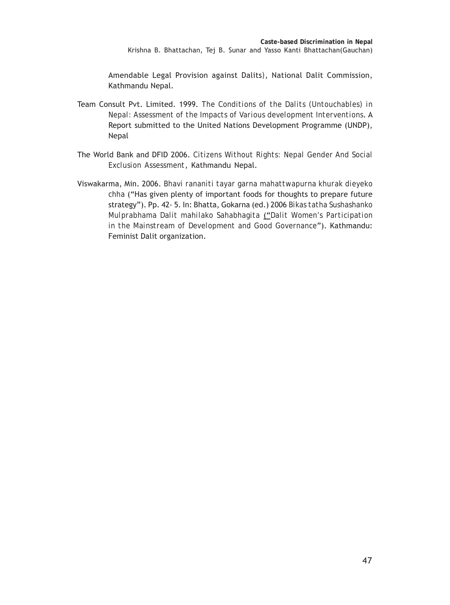Amendable Legal Provision against Dalits*)*, National Dalit Commission, Kathmandu Nepal.

- Team Consult Pvt. Limited. 1999. *The Conditions of the Dalits (Untouchables) in Nepal: Assessment of the Impacts of Various development Interventions*. A Report submitted to the United Nations Development Programme (UNDP), Nepal
- The World Bank and DFID 2006. *Citizens Without Rights: Nepal Gender And Social Exclusion Assessment*, Kathmandu Nepal.
- Viswakarma, Min. 2006. *Bhavi rananiti tayar garna mahattwapurna khurak dieyeko chha* ("Has given plenty of important foods for thoughts to prepare future strategy"). Pp. 42- 5. In: Bhatta, Gokarna (ed.) 2006 *Bikas tatha Sushashanko Mulprabhama Dalit mahilako Sahabhagita* ("*Dalit Women's Participation in the Mainstream of Development and Good Governance*"). Kathmandu: Feminist Dalit organization.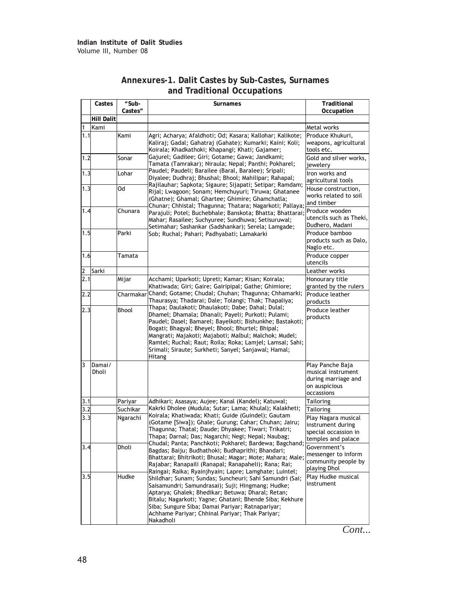|     | Castes            | "Sub-<br>Castes" | Surnames                                                                                                                                                                                                                                                                                                                                                                                                       | Traditional<br>Occupation                                                                    |
|-----|-------------------|------------------|----------------------------------------------------------------------------------------------------------------------------------------------------------------------------------------------------------------------------------------------------------------------------------------------------------------------------------------------------------------------------------------------------------------|----------------------------------------------------------------------------------------------|
|     | <b>Hill Dalit</b> |                  |                                                                                                                                                                                                                                                                                                                                                                                                                |                                                                                              |
| 1   | Kami              |                  |                                                                                                                                                                                                                                                                                                                                                                                                                | Metal works                                                                                  |
| 1.1 |                   | Kami             | Agri; Acharya; Afaldhoti; Od; Kasara; Kallohar; Kalikote;<br>Kaliraj; Gadal; Gahatraj (Gahate); Kumarki; Kaini; Koli;<br>Koirala; Khadkathoki; Khapangi; Khati; Gajamer;                                                                                                                                                                                                                                       | Produce Khukuri,<br>weapons, agricultural<br>tools etc.                                      |
| 1.2 |                   | Sonar            | Gajurel; Gadilee; Giri; Gotame; Gawa; Jandkami;<br>Tamata (Tamrakar); Niraula; Nepal; Panthi; Pokharel;                                                                                                                                                                                                                                                                                                        | Gold and silver works,<br>iewelery                                                           |
| 1.3 |                   | Lohar            | Paudel; Paudeli; Barailee (Baral, Baralee); Sripali;<br>Diyalee; Dudhraj; Bhushal; Bhool; Mahilipar; Rahapal;                                                                                                                                                                                                                                                                                                  | Iron works and<br>agricultural tools                                                         |
| 1.3 |                   | Od               | Rajilauhar; Sapkota; Sigaure; Sijapati; Setipar; Ramdam;<br>Rijal; Lwagoon; Sonam; Hemchuyuri; Tiruwa; Ghatanee<br>(Ghatne); Ghamal; Ghartee; Ghimire; Ghamchatla;<br>Chunar; Chhistal; Thagunna; Thatara; Nagarkoti; Pallaya;                                                                                                                                                                                 | House construction.<br>works related to soil<br>and timber                                   |
| 1.4 |                   | Chunara          | Parajuli; Potel; Buchebhale; Banskota; Bhatta; Bhattarai;<br>Mahar; Rasailee; Suchyuree; Sundhuwa; Setisuruwal;<br>Setimahar; Sashankar (Sadshankar); Serela; Lamgade;                                                                                                                                                                                                                                         | Produce wooden<br>utencils such as Theki,<br>Dudhero, Madani                                 |
| 1.5 |                   | Parki            | Sob; Ruchal; Pahari; Padhyabati; Lamakarki                                                                                                                                                                                                                                                                                                                                                                     | Produce bamboo<br>products such as Dalo,<br>Naglo etc.                                       |
| 1.6 |                   | Tamata           |                                                                                                                                                                                                                                                                                                                                                                                                                | Produce copper<br>utencils                                                                   |
| 2   | Sarki             |                  |                                                                                                                                                                                                                                                                                                                                                                                                                | Leather works                                                                                |
| 2.1 |                   | Mijar            | Acchami; Uparkoti; Upreti; Kamar; Kisan; Koirala;<br>Khatiwada; Giri; Gaire; Gairipipal; Gathe; Ghimiore;                                                                                                                                                                                                                                                                                                      | Honourary title<br>granted by the rulers                                                     |
| 2.2 |                   |                  | Charmakar Chand; Gotame; Chudal; Chuhan; Thagunna; Chhamarki;<br>Thaurasya; Thadarai; Dale; Tolangi; Thak; Thapaliya;                                                                                                                                                                                                                                                                                          | Produce leather<br>products                                                                  |
| 2.3 |                   | <b>Bhool</b>     | Thapa; Daulakoti; Dhaulakoti; Dabe; Dahal; Dulal;<br>Dhamel; Dhamala; Dhanali; Payeli; Purkoti; Pulami;<br>Paudel; Dasel; Bamarel; Bayelkoti; Bishunkhe; Bastakoti;<br>Bogati; Bhagyal; Bheyel; Bhool; Bhurtel; Bhipal;<br>Mangrati; Majakoti; Majaboti; Malbul; Malchok; Mudel;<br>Ramtel; Ruchal; Raut; Roila; Roka; Lamjel; Lamsal; Sahi;<br>Srimali; Siraute; Surkheti; Sanyel; Sanjawal; Hamal;<br>Hitang | Produce leather<br>products                                                                  |
| 3   | Damai/<br>Dholi   |                  |                                                                                                                                                                                                                                                                                                                                                                                                                | Play Panche Baja<br>musical instrument<br>during marriage and<br>on auspicious<br>occassions |
| 3.1 |                   | Pariyar          | Adhikari; Asasaya; Aujee; Kanal (Kandel); Katuwal;                                                                                                                                                                                                                                                                                                                                                             | <b>Tailoring</b>                                                                             |
| 3.2 |                   | Suchikar         | Kakrki Dholee (Mudula; Sutar; Lama; Khulal); Kalakheti;                                                                                                                                                                                                                                                                                                                                                        | <b>Tailoring</b>                                                                             |
| 3.3 |                   | Ngarachi         | Koirala; Khatiwada; Khati; Guide (Guindel); Gautam<br>(Gotame [Siwa]); Ghale; Gurung; Cahar; Chuhan; Jairu;<br>Thagunna; Thatal; Daude; Dhyakee; Tiwari; Trikatri;<br>Thapa; Darnal; Das; Nagarchi; Negi; Nepal; Naubag;                                                                                                                                                                                       | Play Nagara musical<br>instrument during<br>special occassion in<br>temples and palace       |
| 3.4 |                   | Dholi            | Chudal; Panta; Panchkoti; Pokharel; Bardewa; Bagchand;<br>Bagdas; Baiju; Budhathoki; Budhaprithi; Bhandari;<br>Bhattarai; Bhitrikoti; Bhusal; Magar; Mote; Mahara; Male;<br>Rajabar; Ranapaili (Ranapal; Ranapaheli); Rana; Rai;<br>Raingai; Raika; Ryainjhyain; Lapre; Lamghate; Luintel;                                                                                                                     | Government's<br>messenger to inform<br>community people by<br>playing Dhol                   |
| 3.5 |                   | Hudke            | Shildhar; Sunam; Sundas; Suncheuri; Sahi Samundri (Sai;<br>Saisamundri; Samundrasai); Suji; Hingmang; Hudke;<br>Aptarya; Ghalek; Bhedikar; Betuwa; Dharal; Retan;<br>Bitalu; Nagarkoti; Yagne; Ghatani; Bhende Siba; Kekhure<br>Siba; Sungure Siba; Damai Pariyar; Ratnapariyar;<br>Achhame Pariyar; Chhinal Pariyar; Thak Pariyar;<br>Nakadholi                                                               | Play Hudke musical<br>instrument                                                             |

#### **Annexures-1. Dalit Castes by Sub-Castes, Surnames and Traditional Occupations**

*Cont...*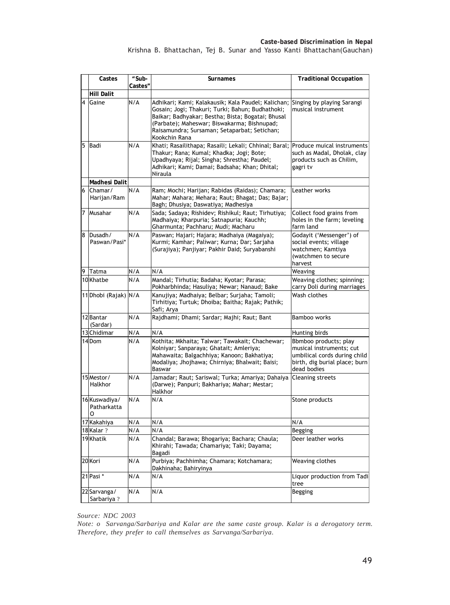|   | Castes                                                                                                                                                                                                                                                                                      | "Sub-<br>Surnames<br>Castes" |                                                                                                                                                                                                              | <b>Traditional Occupation</b>                                                                                                     |
|---|---------------------------------------------------------------------------------------------------------------------------------------------------------------------------------------------------------------------------------------------------------------------------------------------|------------------------------|--------------------------------------------------------------------------------------------------------------------------------------------------------------------------------------------------------------|-----------------------------------------------------------------------------------------------------------------------------------|
|   | Hill Dalit                                                                                                                                                                                                                                                                                  |                              |                                                                                                                                                                                                              |                                                                                                                                   |
| 4 | N/A<br>Adhikari; Kami; Kalakausik; Kala Paudel; Kalichan;<br>Gaine<br>Gosain; Jogi; Thakuri; Turki; Bahun; Budhathoki;<br>Baikar; Badhyakar; Bestha; Bista; Bogatai; Bhusal<br>(Parbate); Maheswar; Biswakarma; Bishnupad;<br>Raisamundra; Sursaman; Setaparbat; Setichan;<br>Kookchin Rana |                              | Singing by playing Sarangi<br>musical instrument                                                                                                                                                             |                                                                                                                                   |
| 5 | Badi                                                                                                                                                                                                                                                                                        | N/A                          | Khati; Rasailithapa; Rasaili; Lekali; Chhinal; Baral;<br>Thakur; Rana; Kumal; Khadka; Jogi; Bote;<br>Upadhyaya; Rijal; Singha; Shrestha; Paudel;<br>Adhikari; Kami; Damai; Badsaha; Khan; Dhital;<br>Niraula | Produce muical instruments<br>such as Madal, Dholak, clay<br>products such as Chilim,<br>gagri tv                                 |
|   | Madhesi Dalit                                                                                                                                                                                                                                                                               |                              |                                                                                                                                                                                                              |                                                                                                                                   |
| 6 | Chamar/<br>Harijan/Ram                                                                                                                                                                                                                                                                      | N/A                          | Ram; Mochi; Harijan; Rabidas (Raidas); Chamara;<br>Mahar; Mahara; Mehara; Raut; Bhagat; Das; Bajar;<br>Bagh; Dhusiya; Daswatiya; Madhesiya                                                                   | Leather works                                                                                                                     |
| 7 | Musahar                                                                                                                                                                                                                                                                                     | N/A                          | Sada; Sadaya; Rishidev; Rishikul; Raut; Tirhutiya;<br>Madhaiya; Kharpuria; Satnapuria; Kauchh;<br>Gharmunta; Pachharu; Mudi; Macharu                                                                         | Collect food grains from<br>holes in the farm; leveling<br>farm land                                                              |
| 8 | Dusadh/<br>Paswan/Pasi*                                                                                                                                                                                                                                                                     | N/A                          | Paswan; Hajari; Hajara; Madhaiya (Magaiya);<br>Kurmi; Kamhar; Paliwar; Kurna; Dar; Sarjaha<br>(Surajiya); Panjiyar; Pakhir Daid; Suryabanshi                                                                 | Godayit ('Messenger') of<br>social events; village<br>watchmen; Kamtiya<br>(watchmen to secure<br>harvest                         |
| 9 | Tatma                                                                                                                                                                                                                                                                                       | N/A                          | N/A                                                                                                                                                                                                          | Weaving                                                                                                                           |
|   | 10 Khatbe                                                                                                                                                                                                                                                                                   | N/A                          | Mandal; Tirhutia; Badaha; Kyotar; Parasa;<br>Pokharbhinda; Hasuliya; Newar; Nanaud; Bake                                                                                                                     | Weaving clothes; spinning;<br>carry Doli during marriages                                                                         |
|   | 11 Dhobi (Rajak) N/A                                                                                                                                                                                                                                                                        |                              | Kanujiya; Madhaiya; Belbar; Surjaha; Tamoli;<br>Tirhitiya; Turtuk; Dhoiba; Baitha; Rajak; Pathik;<br>Safi; Arya                                                                                              | Wash clothes                                                                                                                      |
|   | 12 Bantar<br>(Sardar)                                                                                                                                                                                                                                                                       | N/A                          | Rajdhami; Dhami; Sardar; Majhi; Raut; Bant                                                                                                                                                                   | Bamboo works                                                                                                                      |
|   | 13 Chidimar                                                                                                                                                                                                                                                                                 | N/A                          | N/A                                                                                                                                                                                                          | Hunting birds                                                                                                                     |
|   | 14Dom                                                                                                                                                                                                                                                                                       | N/A                          | Kothita; Mkhaita; Talwar; Tawakait; Chachewar;<br>Kolniyar; Sanparaya; Ghatait; Amleriya;<br>Mahawaita; Balgachhiya; Kanoon; Bakhatiya;<br>Modaliya; Jhojhawa; Chirniya; Bhalwait; Baisi;<br>Baswar          | Bbmboo products; play<br>musical instruments; cut<br>umbilical cords during child<br>birth, dig burial place; burn<br>dead bodies |
|   | 15 Mestor/<br>Halkhor                                                                                                                                                                                                                                                                       | N/A                          | Jamadar; Raut; Sariswal; Turka; Amariya; Dahaiya<br>(Darwe); Panpuri; Bakhariya; Mahar; Mestar;<br>Halkhor                                                                                                   | <b>Cleaning streets</b>                                                                                                           |
|   | 16 Kuswadiya/<br>Patharkatta<br>O                                                                                                                                                                                                                                                           | N/A                          | N/A                                                                                                                                                                                                          | Stone products                                                                                                                    |
|   | 17 Kakahiya                                                                                                                                                                                                                                                                                 | N/A                          | N/A                                                                                                                                                                                                          | N/A                                                                                                                               |
|   | 18 Kalar?                                                                                                                                                                                                                                                                                   | N/A                          | N/A                                                                                                                                                                                                          | Begging                                                                                                                           |
|   | 19 Khatik                                                                                                                                                                                                                                                                                   | N/A                          | Chandal; Barawa; Bhogariya; Bachara; Chaula;<br>Khirahi; Tawada; Chamariya; Taki; Dayama;<br>Bagadi                                                                                                          | Deer leather works                                                                                                                |
|   | 20 Kori                                                                                                                                                                                                                                                                                     | N/A                          | Purbiya; Pachhimha; Chamara; Kotchamara;<br>Dakhinaha; Bahiryinya                                                                                                                                            | Weaving clothes                                                                                                                   |
|   | 21 Pasi *                                                                                                                                                                                                                                                                                   | N/A                          | N/A                                                                                                                                                                                                          | Liquor production from Tadi<br>tree                                                                                               |
|   | 22 Sarvanga/<br>Sarbariya?                                                                                                                                                                                                                                                                  | N/A                          | N/A                                                                                                                                                                                                          | Begging                                                                                                                           |

*Source: NDC 2003*

*Note: o Sarvanga/Sarbariya and Kalar are the same caste group. Kalar is a derogatory term. Therefore, they prefer to call themselves as Sarvanga/Sarbariya*.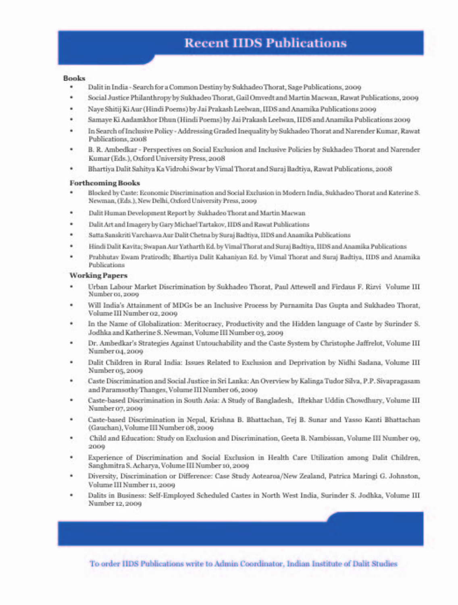# **Recent IIDS Publications**

#### **Books**

- Dalit in India Search for a Common Destiny by Sukhadeo Thorat, Sage Publications, 2009
- Social Justice Philanthropy by Sukhadeo Thorat, Gail Omvedt and Martin Macwan, Rawat Publications, 2009
- Nave Shitij Ki Aur (Hindi Poems) by Jai Prakash Leelwan, HDS and Anamika Publications 2009
- Samaye Ki Aadamkhor Dhun (Hindi Poems) by Jai Prakash Leelwan, IIDS and Anamika Publications 2009
- In Search of Inclusive Policy Addressing Graded Inequality by Sukhadeo Thorat and Narender Kumar, Rawat ٠ Publications, 2008
- B. R. Ambedkar Perspectives on Social Exclusion and Inclusive Policies by Sukhadeo Thorat and Narender Kumar (Eds.), Oxford University Press, 2008
- Bhartiya Dalit Sahitya Ka Vidrohi Swar by Vimal Thorat and Suraj Badtiya, Rawat Publications, 2008

#### **Forthcoming Books**

- Blocked by Caste: Economic Discrimination and Social Exclusion in Modern India, Sukhadeo Thorat and Katerine S. Newman, (Eds.), New Delhi, Oxford University Press, 2009
- Dalit Human Development Report by Sukhadeo Thorat and Martin Macwan
- Dalit Art and Imagery by Gary Michael Tartakov, IIDS and Rawat Publications
- Satta Sanskriti Varchasva Aur Dalit Chetna by Suraj Badtiya, IIDS and Anamika Publications
- Hindi Dalit Kavita; Swapan Aur Yatharth Ed. by Vimal Thorat and Suraj Badtiya, IIDS and Anamika Publications
- Prabhutay Ewam Pratirodh; Bhartiya Dalit Kahaniyan Ed. by Vimal Thorat and Suraj Badtiya, IIDS and Anamika Publications

#### **Working Papers**

- Urban Labour Market Discrimination by Sukhadeo Thorat, Paul Attewell and Firdaus F. Rizvi Volume III Number 01, 2009
- Will India's Attainment of MDGs be an Inclusive Process by Purnamita Das Gupta and Sukhadeo Thorat, Volume III Number 02, 2009
- In the Name of Globalization: Meritocracy, Productivity and the Hidden language of Caste by Surinder S. ٠ Jodhka and Katherine S. Newman, Volume III Number 03, 2009
- Dr. Ambedkar's Strategies Against Untouchability and the Caste System by Christophe Jaffrelot, Volume III Number 04, 2009
- Dalit Children in Rural India: Issues Related to Exclusion and Deprivation by Nidhi Sadana, Volume III Number 05, 2009
- Caste Discrimination and Social Justice in Sri Lanka: An Overview by Kalinga Tudor Silva, P.P. Sivapragasam and Paramsothy Thanges, Volume III Number 06, 2009
- Caste-based Discrimination in South Asia: A Study of Bangladesh, Iftekhar Uddin Chowdhury, Volume III Number 07, 2009
- Caste-based Discrimination in Nepal, Krishna B. Bhattachan, Tei B. Sunar and Yasso Kanti Bhattachan (Gauchan), Volume III Number 08, 2009
- Child and Education: Study on Exclusion and Discrimination, Geeta B. Nambissan, Volume III Number 09, 2009
- Experience of Discrimination and Social Exclusion in Health Care Utilization among Dalit Children, Sanghmitra S. Acharya, Volume III Number 10, 2009
- Diversity, Discrimination or Difference: Case Study Aotearoa/New Zealand, Patrica Maringi G. Johnston, Volume III Number 11, 2009
- Dalits in Business: Self-Employed Scheduled Castes in North West India, Surinder S. Jodhka, Volume III Number 12, 2009

To order IIDS Publications write to Admin Coordinator, Indian Institute of Dalit Studies